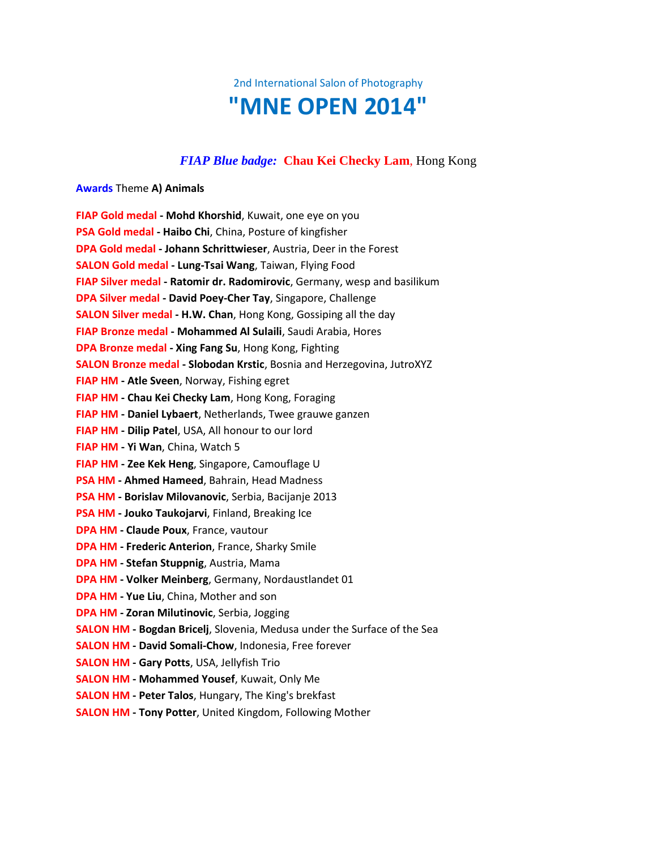2nd International Salon of Photography

# **"MNE OPEN 2014"**

# *FIAP Blue badge:* **[Chau Kei Checky Lam](http://www.photoclubmontenegro.com/main/index.php?op=100&l=1&uidp=1516)**, Hong Kong

# **Awards** Theme **A) Animals**

| FIAP Gold medal - Mohd Khorshid, Kuwait, one eye on you                          |
|----------------------------------------------------------------------------------|
| PSA Gold medal - Haibo Chi, China, Posture of kingfisher                         |
| DPA Gold medal - Johann Schrittwieser, Austria, Deer in the Forest               |
| <b>SALON Gold medal - Lung-Tsai Wang, Taiwan, Flying Food</b>                    |
| FIAP Silver medal - Ratomir dr. Radomirovic, Germany, wesp and basilikum         |
| DPA Silver medal - David Poey-Cher Tay, Singapore, Challenge                     |
| <b>SALON Silver medal - H.W. Chan, Hong Kong, Gossiping all the day</b>          |
| FIAP Bronze medal - Mohammed Al Sulaili, Saudi Arabia, Hores                     |
| DPA Bronze medal - Xing Fang Su, Hong Kong, Fighting                             |
| SALON Bronze medal - Slobodan Krstic, Bosnia and Herzegovina, JutroXYZ           |
| FIAP HM - Atle Sveen, Norway, Fishing egret                                      |
| FIAP HM - Chau Kei Checky Lam, Hong Kong, Foraging                               |
| FIAP HM - Daniel Lybaert, Netherlands, Twee grauwe ganzen                        |
| FIAP HM - Dilip Patel, USA, All honour to our lord                               |
| FIAP HM - Yi Wan, China, Watch 5                                                 |
| FIAP HM - Zee Kek Heng, Singapore, Camouflage U                                  |
| PSA HM - Ahmed Hameed, Bahrain, Head Madness                                     |
| PSA HM - Borislav Milovanovic, Serbia, Bacijanje 2013                            |
| PSA HM - Jouko Taukojarvi, Finland, Breaking Ice                                 |
| <b>DPA HM - Claude Poux</b> , France, vautour                                    |
| <b>DPA HM - Frederic Anterion, France, Sharky Smile</b>                          |
| DPA HM - Stefan Stuppnig, Austria, Mama                                          |
| DPA HM - Volker Meinberg, Germany, Nordaustlandet 01                             |
| DPA HM - Yue Liu, China, Mother and son                                          |
| <b>DPA HM - Zoran Milutinovic, Serbia, Jogging</b>                               |
| <b>SALON HM - Bogdan Bricelj</b> , Slovenia, Medusa under the Surface of the Sea |
| <b>SALON HM - David Somali-Chow, Indonesia, Free forever</b>                     |
| <b>SALON HM - Gary Potts, USA, Jellyfish Trio</b>                                |
| <b>SALON HM - Mohammed Yousef, Kuwait, Only Me</b>                               |
| <b>SALON HM - Peter Talos, Hungary, The King's brekfast</b>                      |
| <b>SALON HM - Tony Potter, United Kingdom, Following Mother</b>                  |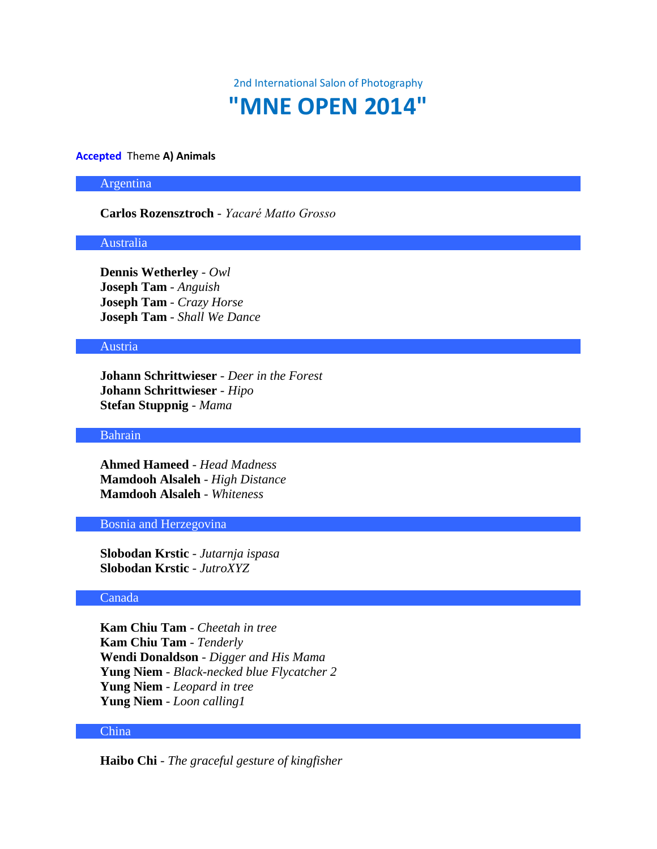2nd International Salon of Photography

# **"MNE OPEN 2014"**

#### **Accepted** Theme **A) Animals**

#### Argentina

# **Carlos Rozensztroch** - *Yacaré Matto Grosso*

#### Australia

**Dennis Wetherley** - *Owl* **Joseph Tam** - *Anguish* **Joseph Tam** - *Crazy Horse* **Joseph Tam** - *Shall We Dance*

# Austria

**Johann Schrittwieser** - *Deer in the Forest* **Johann Schrittwieser** - *Hipo* **Stefan Stuppnig** - *Mama*

# Bahrain

**Ahmed Hameed** - *Head Madness* **Mamdooh Alsaleh** - *High Distance* **Mamdooh Alsaleh** - *Whiteness*

# Bosnia and Herzegovina

**Slobodan Krstic** - *Jutarnja ispasa* **Slobodan Krstic** - *JutroXYZ*

#### Canada

**Kam Chiu Tam** - *Cheetah in tree* **Kam Chiu Tam** - *Tenderly* **Wendi Donaldson** - *Digger and His Mama* **Yung Niem** - *Black-necked blue Flycatcher 2* **Yung Niem** - *Leopard in tree* **Yung Niem** - *Loon calling1*

### China

**Haibo Chi** - *The graceful gesture of kingfisher*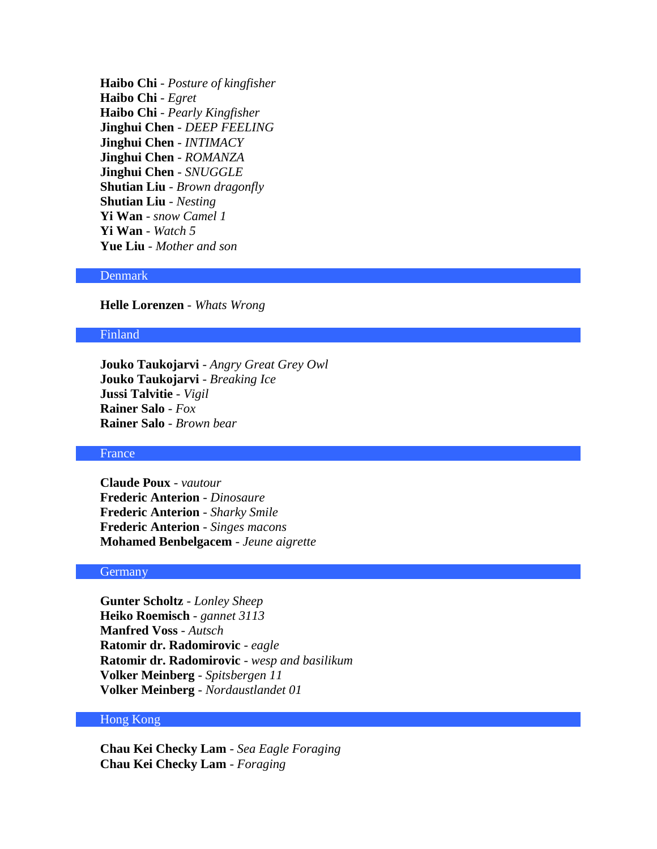**Haibo Chi** - *Posture of kingfisher* **Haibo Chi** - *Egret* **Haibo Chi** - *Pearly Kingfisher* **Jinghui Chen** - *DEEP FEELING* **Jinghui Chen** - *INTIMACY* **Jinghui Chen** - *ROMANZA* **Jinghui Chen** - *SNUGGLE* **Shutian Liu** - *Brown dragonfly* **Shutian Liu** - *Nesting* **Yi Wan** - *snow Camel 1* **Yi Wan** - *Watch 5* **Yue Liu** - *Mother and son*

# Denmark

**Helle Lorenzen** - *Whats Wrong*

#### Finland

**Jouko Taukojarvi** - *Angry Great Grey Owl* **Jouko Taukojarvi** - *Breaking Ice* **Jussi Talvitie** - *Vigil* **Rainer Salo** - *Fox* **Rainer Salo** - *Brown bear*

# France

**Claude Poux** - *vautour* **Frederic Anterion** - *Dinosaure* **Frederic Anterion** - *Sharky Smile* **Frederic Anterion** - *Singes macons* **Mohamed Benbelgacem** - *Jeune aigrette*

# **Germany**

**Gunter Scholtz** - *Lonley Sheep* **Heiko Roemisch** - *gannet 3113* **Manfred Voss** - *Autsch* **Ratomir dr. Radomirovic** - *eagle* **Ratomir dr. Radomirovic** - *wesp and basilikum* **Volker Meinberg** - *Spitsbergen 11* **Volker Meinberg** - *Nordaustlandet 01*

# Hong Kong

**Chau Kei Checky Lam** - *Sea Eagle Foraging* **Chau Kei Checky Lam** - *Foraging*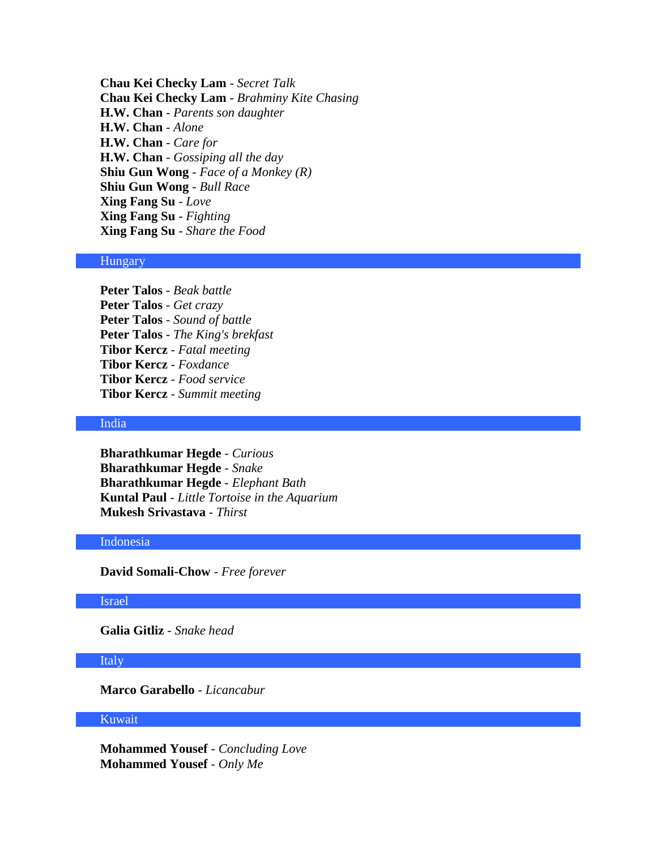**Chau Kei Checky Lam** - *Secret Talk* **Chau Kei Checky Lam** - *Brahminy Kite Chasing* **H.W. Chan** - *Parents son daughter* **H.W. Chan** - *Alone* **H.W. Chan** - *Care for* **H.W. Chan** - *Gossiping all the day* **Shiu Gun Wong** - *Face of a Monkey (R)* **Shiu Gun Wong** - *Bull Race* **Xing Fang Su** - *Love* **Xing Fang Su** - *Fighting* **Xing Fang Su** - *Share the Food*

# Hungary

**Peter Talos** - *Beak battle* **Peter Talos** - *Get crazy* **Peter Talos** - *Sound of battle* **Peter Talos** - *The King's brekfast* **Tibor Kercz** - *Fatal meeting* **Tibor Kercz** - *Foxdance* **Tibor Kercz** - *Food service* **Tibor Kercz** - *Summit meeting*

# India

**Bharathkumar Hegde** - *Curious* **Bharathkumar Hegde** - *Snake* **Bharathkumar Hegde** - *Elephant Bath* **Kuntal Paul** - *Little Tortoise in the Aquarium* **Mukesh Srivastava** - *Thirst*

# Indonesia

**David Somali-Chow** - *Free forever*

#### Israel

**Galia Gitliz** - *Snake head*

#### Italy

**Marco Garabello** - *Licancabur*

# Kuwait

**Mohammed Yousef** - *Concluding Love* **Mohammed Yousef** - *Only Me*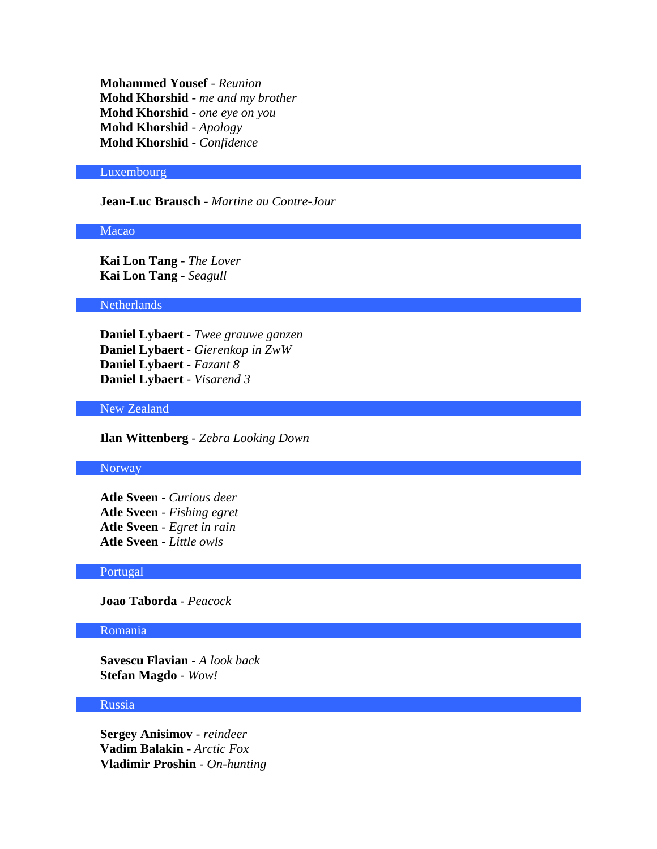**Mohammed Yousef** - *Reunion* **Mohd Khorshid** - *me and my brother* **Mohd Khorshid** - *one eye on you* **Mohd Khorshid** - *Apology* **Mohd Khorshid** - *Confidence*

#### Luxembourg

**Jean-Luc Brausch** - *Martine au Contre-Jour*

# Macao

**Kai Lon Tang** - *The Lover* **Kai Lon Tang** - *Seagull*

# Netherlands

**Daniel Lybaert** - *Twee grauwe ganzen* **Daniel Lybaert** - *Gierenkop in ZwW* **Daniel Lybaert** - *Fazant 8* **Daniel Lybaert** - *Visarend 3*

# New Zealand

**Ilan Wittenberg** - *Zebra Looking Down*

# Norway

**Atle Sveen** - *Curious deer* **Atle Sveen** - *Fishing egret* **Atle Sveen** - *Egret in rain* **Atle Sveen** - *Little owls*

#### Portugal

**Joao Taborda** - *Peacock*

# Romania

**Savescu Flavian** - *A look back* **Stefan Magdo** - *Wow!*

#### Russia

**Sergey Anisimov** - *reindeer* **Vadim Balakin** - *Arctic Fox* **Vladimir Proshin** - *On-hunting*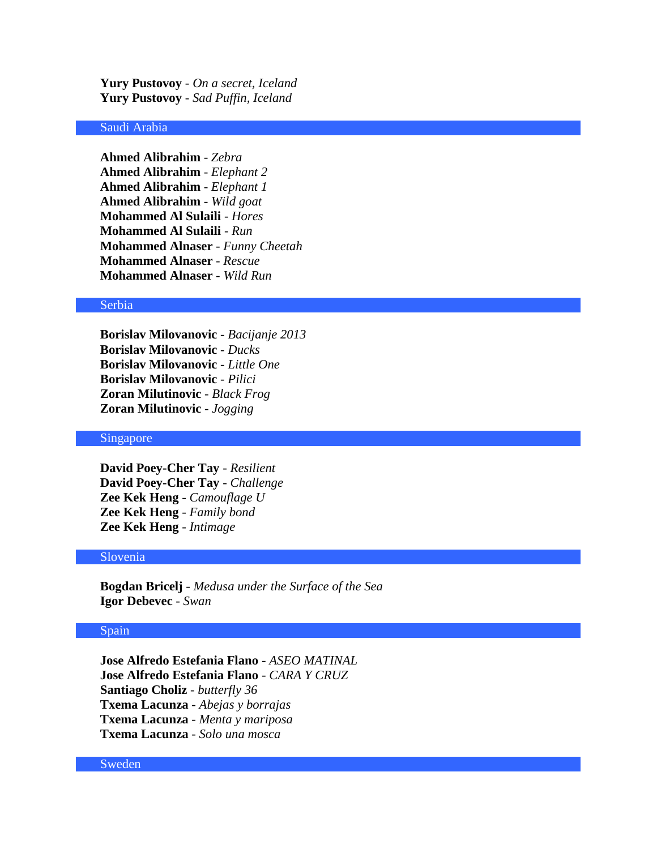**Yury Pustovoy** - *On a secret, Iceland* **Yury Pustovoy** - *Sad Puffin, Iceland*

# Saudi Arabia

**Ahmed Alibrahim** - *Zebra* **Ahmed Alibrahim** - *Elephant 2* **Ahmed Alibrahim** - *Elephant 1* **Ahmed Alibrahim** - *Wild goat* **Mohammed Al Sulaili** - *Hores* **Mohammed Al Sulaili** - *Run* **Mohammed Alnaser** - *Funny Cheetah* **Mohammed Alnaser** - *Rescue* **Mohammed Alnaser** - *Wild Run*

#### Serbia

**Borislav Milovanovic** - *Bacijanje 2013* **Borislav Milovanovic** - *Ducks* **Borislav Milovanovic** - *Little One* **Borislav Milovanovic** - *Pilici* **Zoran Milutinovic** - *Black Frog* **Zoran Milutinovic** - *Jogging*

#### Singapore

**David Poey-Cher Tay** - *Resilient* **David Poey-Cher Tay** - *Challenge* **Zee Kek Heng** - *Camouflage U* **Zee Kek Heng** - *Family bond* **Zee Kek Heng** - *Intimage*

#### Slovenia

**Bogdan Bricelj** - *Medusa under the Surface of the Sea* **Igor Debevec** - *Swan*

# Spain

**Jose Alfredo Estefania Flano** - *ASEO MATINAL* **Jose Alfredo Estefania Flano** - *CARA Y CRUZ* **Santiago Choliz** - *butterfly 36* **Txema Lacunza** - *Abejas y borrajas* **Txema Lacunza** - *Menta y mariposa* **Txema Lacunza** - *Solo una mosca*

Sweden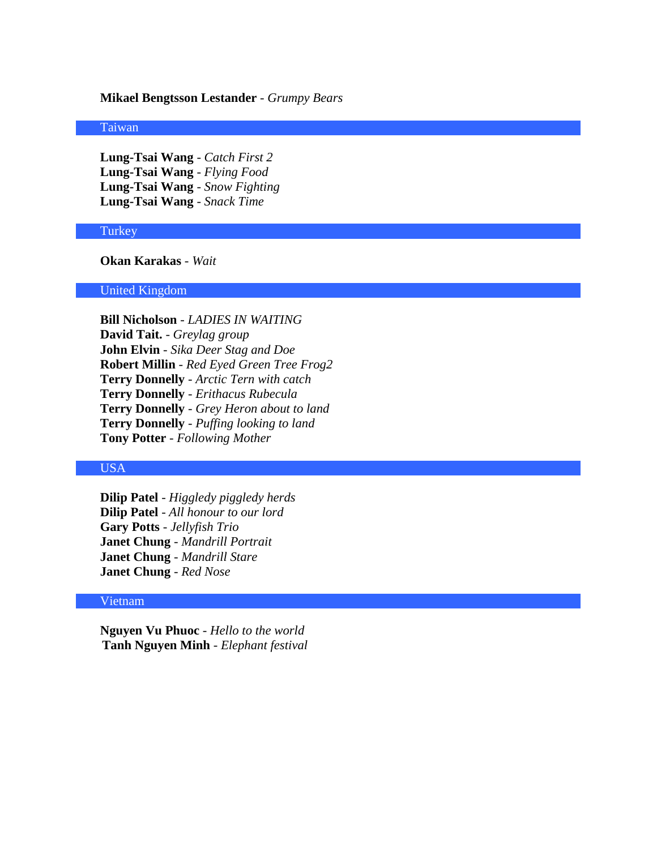# **Mikael Bengtsson Lestander** - *Grumpy Bears*

#### Taiwan

**Lung-Tsai Wang** - *Catch First 2* **Lung-Tsai Wang** - *Flying Food* **Lung-Tsai Wang** - *Snow Fighting* **Lung-Tsai Wang** - *Snack Time*

#### **Turkey**

**Okan Karakas** - *Wait*

# United Kingdom

**Bill Nicholson** - *LADIES IN WAITING* **David Tait.** - *Greylag group* **John Elvin** - *Sika Deer Stag and Doe* **Robert Millin** - *Red Eyed Green Tree Frog2* **Terry Donnelly** - *Arctic Tern with catch* **Terry Donnelly** - *Erithacus Rubecula* **Terry Donnelly** - *Grey Heron about to land* **Terry Donnelly** - *Puffing looking to land* **Tony Potter** - *Following Mother*

# USA

**Dilip Patel** - *Higgledy piggledy herds* **Dilip Patel** - *All honour to our lord* **Gary Potts** - *Jellyfish Trio* **Janet Chung** - *Mandrill Portrait* **Janet Chung** - *Mandrill Stare* **Janet Chung** - *Red Nose*

# Vietnam

**Nguyen Vu Phuoc** - *Hello to the world* **Tanh Nguyen Minh** - *Elephant festival*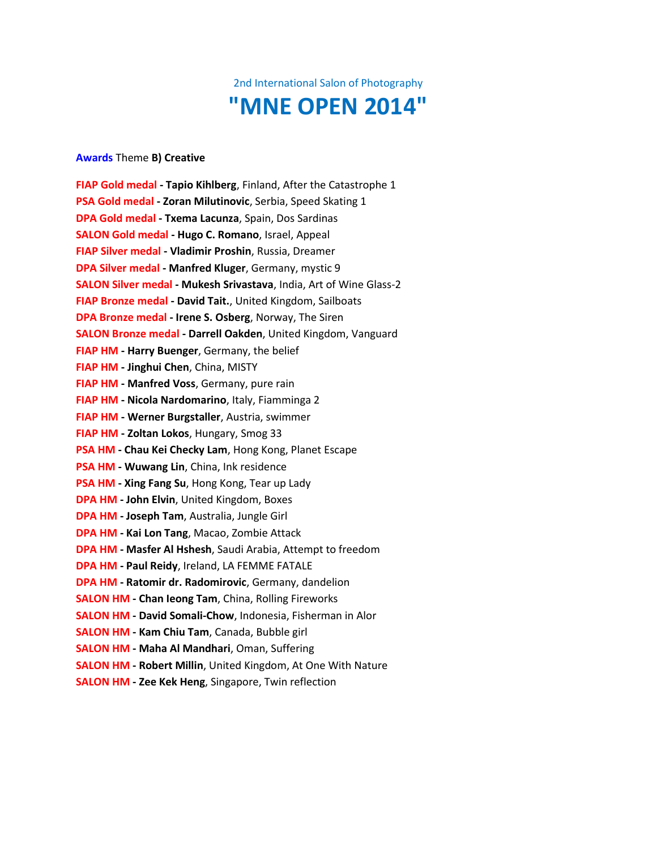

# **Awards** Theme **B) Creative**

| FIAP Gold medal - Tapio Kihlberg, Finland, After the Catastrophe 1        |
|---------------------------------------------------------------------------|
| PSA Gold medal - Zoran Milutinovic, Serbia, Speed Skating 1               |
| DPA Gold medal - Txema Lacunza, Spain, Dos Sardinas                       |
| <b>SALON Gold medal - Hugo C. Romano</b> , Israel, Appeal                 |
| FIAP Silver medal - Vladimir Proshin, Russia, Dreamer                     |
| DPA Silver medal - Manfred Kluger, Germany, mystic 9                      |
| <b>SALON Silver medal - Mukesh Srivastava, India, Art of Wine Glass-2</b> |
| FIAP Bronze medal - David Tait., United Kingdom, Sailboats                |
| <b>DPA Bronze medal - Irene S. Osberg</b> , Norway, The Siren             |
| SALON Bronze medal - Darrell Oakden, United Kingdom, Vanguard             |
| FIAP HM - Harry Buenger, Germany, the belief                              |
| FIAP HM - Jinghui Chen, China, MISTY                                      |
| FIAP HM - Manfred Voss, Germany, pure rain                                |
| FIAP HM - Nicola Nardomarino, Italy, Fiamminga 2                          |
| FIAP HM - Werner Burgstaller, Austria, swimmer                            |
| FIAP HM - Zoltan Lokos, Hungary, Smog 33                                  |
| PSA HM - Chau Kei Checky Lam, Hong Kong, Planet Escape                    |
| PSA HM - Wuwang Lin, China, Ink residence                                 |
| PSA HM - Xing Fang Su, Hong Kong, Tear up Lady                            |
| DPA HM - John Elvin, United Kingdom, Boxes                                |
| DPA HM - Joseph Tam, Australia, Jungle Girl                               |
| DPA HM - Kai Lon Tang, Macao, Zombie Attack                               |
| DPA HM - Masfer Al Hshesh, Saudi Arabia, Attempt to freedom               |
| DPA HM - Paul Reidy, Ireland, LA FEMME FATALE                             |
| DPA HM - Ratomir dr. Radomirovic, Germany, dandelion                      |
| <b>SALON HM - Chan leong Tam, China, Rolling Fireworks</b>                |
| <b>SALON HM - David Somali-Chow, Indonesia, Fisherman in Alor</b>         |
| <b>SALON HM - Kam Chiu Tam, Canada, Bubble girl</b>                       |
| <b>SALON HM - Maha Al Mandhari, Oman, Suffering</b>                       |
| <b>SALON HM - Robert Millin, United Kingdom, At One With Nature</b>       |
| <b>SALON HM - Zee Kek Heng, Singapore, Twin reflection</b>                |
|                                                                           |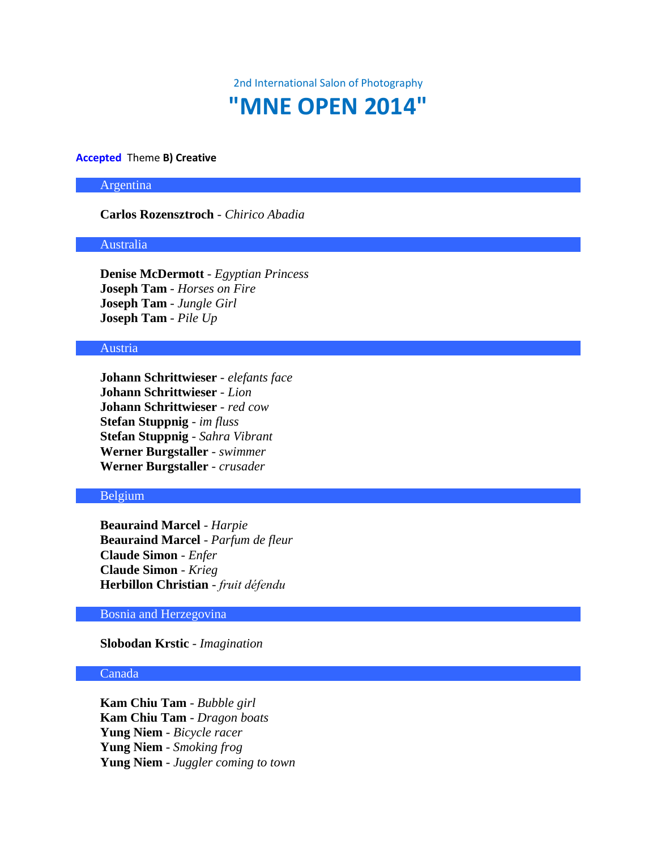2nd International Salon of Photography

# **"MNE OPEN 2014"**

#### **Accepted** Theme **B) Creative**

## Argentina

# **Carlos Rozensztroch** - *Chirico Abadia*

#### Australia

**Denise McDermott** - *Egyptian Princess* **Joseph Tam** - *Horses on Fire* **Joseph Tam** - *Jungle Girl* **Joseph Tam** - *Pile Up*

# Austria

**Johann Schrittwieser** - *elefants face* **Johann Schrittwieser** - *Lion* **Johann Schrittwieser** - *red cow* **Stefan Stuppnig** - *im fluss* **Stefan Stuppnig** - *Sahra Vibrant* **Werner Burgstaller** - *swimmer* **Werner Burgstaller** - *crusader*

## Belgium

**Beauraind Marcel** - *Harpie* **Beauraind Marcel** - *Parfum de fleur* **Claude Simon** - *Enfer* **Claude Simon** - *Krieg* **Herbillon Christian** - *fruit défendu*

# Bosnia and Herzegovina

# **Slobodan Krstic** - *Imagination*

# Canada

**Kam Chiu Tam** - *Bubble girl* **Kam Chiu Tam** - *Dragon boats* **Yung Niem** - *Bicycle racer* **Yung Niem** - *Smoking frog* **Yung Niem** - *Juggler coming to town*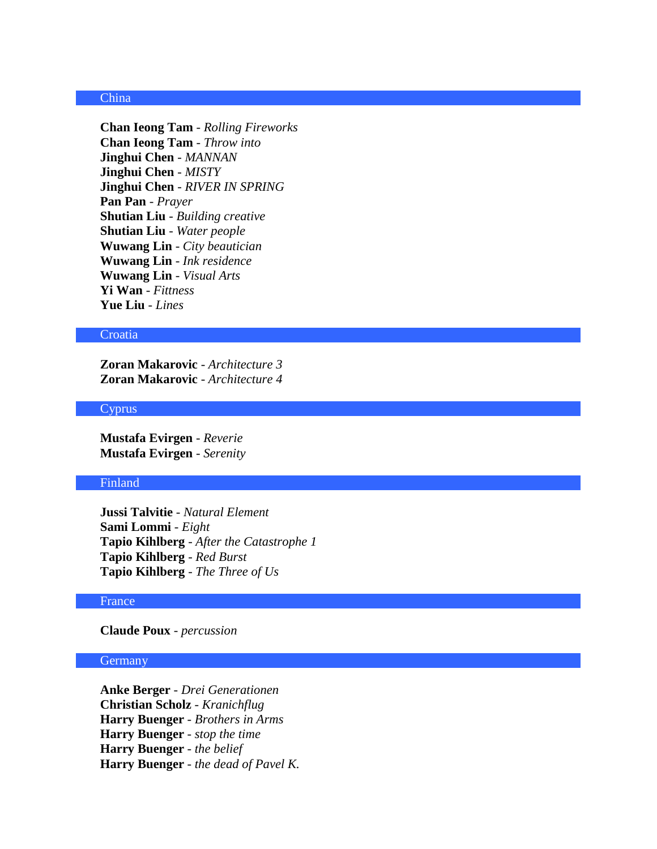# China

**Chan Ieong Tam** - *Rolling Fireworks* **Chan Ieong Tam** - *Throw into* **Jinghui Chen** - *MANNAN* **Jinghui Chen** - *MISTY* **Jinghui Chen** - *RIVER IN SPRING* **Pan Pan** - *Prayer* **Shutian Liu** - *Building creative* **Shutian Liu** - *Water people* **Wuwang Lin** - *City beautician* **Wuwang Lin** - *Ink residence* **Wuwang Lin** - *Visual Arts* **Yi Wan** - *Fittness* **Yue Liu** - *Lines*

## **Croatia**

**Zoran Makarovic** - *Architecture 3* **Zoran Makarovic** - *Architecture 4*

#### Cyprus

**Mustafa Evirgen** - *Reverie* **Mustafa Evirgen** - *Serenity*

# Finland

**Jussi Talvitie** - *Natural Element* **Sami Lommi** - *Eight* **Tapio Kihlberg** - *After the Catastrophe 1* **Tapio Kihlberg** - *Red Burst* **Tapio Kihlberg** - *The Three of Us*

#### France

# **Claude Poux** - *percussion*

#### **Germany**

**Anke Berger** - *Drei Generationen* **Christian Scholz** - *Kranichflug* **Harry Buenger** - *Brothers in Arms* **Harry Buenger** - *stop the time* **Harry Buenger** - *the belief* **Harry Buenger** - *the dead of Pavel K.*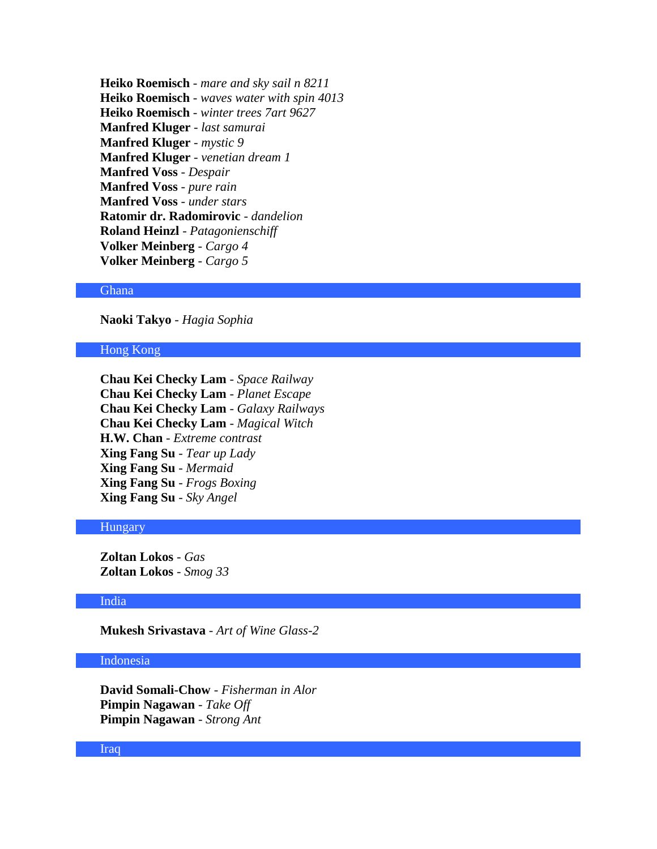**Heiko Roemisch** - *mare and sky sail n 8211* **Heiko Roemisch** - *waves water with spin 4013* **Heiko Roemisch** - *winter trees 7art 9627* **Manfred Kluger** - *last samurai* **Manfred Kluger** - *mystic 9* **Manfred Kluger** - *venetian dream 1* **Manfred Voss** - *Despair* **Manfred Voss** - *pure rain* **Manfred Voss** - *under stars* **Ratomir dr. Radomirovic** - *dandelion* **Roland Heinzl** - *Patagonienschiff* **Volker Meinberg** - *Cargo 4* **Volker Meinberg** - *Cargo 5*

# **Ghana**

**Naoki Takyo** - *Hagia Sophia*

# Hong Kong

**Chau Kei Checky Lam** - *Space Railway* **Chau Kei Checky Lam** - *Planet Escape* **Chau Kei Checky Lam** - *Galaxy Railways* **Chau Kei Checky Lam** - *Magical Witch* **H.W. Chan** - *Extreme contrast* **Xing Fang Su** - *Tear up Lady* **Xing Fang Su** - *Mermaid* **Xing Fang Su** - *Frogs Boxing* **Xing Fang Su** - *Sky Angel*

#### Hungary

**Zoltan Lokos** - *Gas* **Zoltan Lokos** - *Smog 33*

# India

**Mukesh Srivastava** - *Art of Wine Glass-2*

# Indonesia

**David Somali-Chow** - *Fisherman in Alor* **Pimpin Nagawan** - *Take Off* **Pimpin Nagawan** - *Strong Ant*

Iraq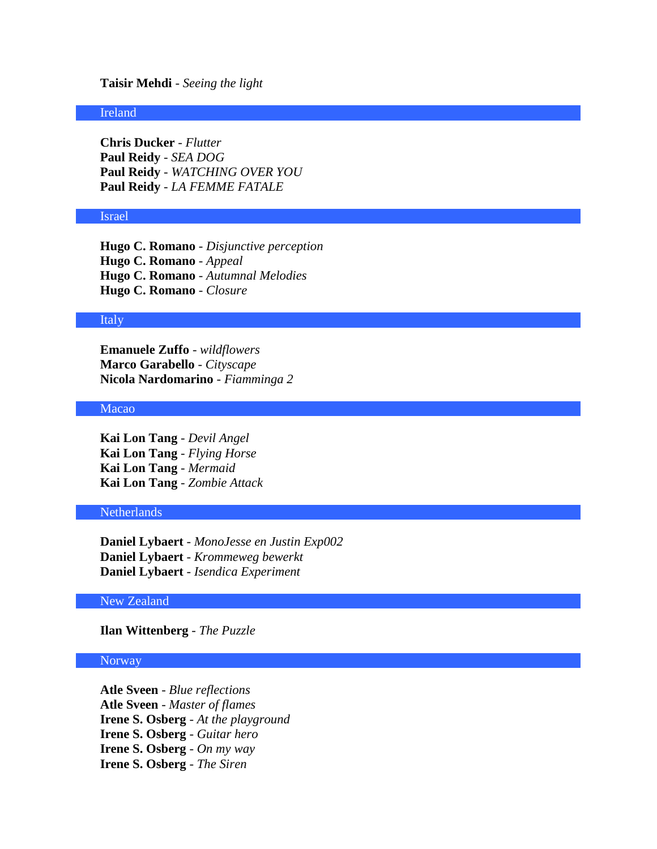**Taisir Mehdi** - *Seeing the light*

#### Ireland

**Chris Ducker** - *Flutter* **Paul Reidy** - *SEA DOG* **Paul Reidy** - *WATCHING OVER YOU* **Paul Reidy** - *LA FEMME FATALE*

#### Israel

**Hugo C. Romano** - *Disjunctive perception* **Hugo C. Romano** - *Appeal* **Hugo C. Romano** - *Autumnal Melodies* **Hugo C. Romano** - *Closure*

# Italy

**Emanuele Zuffo** - *wildflowers* **Marco Garabello** - *Cityscape* **Nicola Nardomarino** - *Fiamminga 2*

## Macao

**Kai Lon Tang** - *Devil Angel* **Kai Lon Tang** - *Flying Horse* **Kai Lon Tang** - *Mermaid* **Kai Lon Tang** - *Zombie Attack*

#### Netherlands

**Daniel Lybaert** - *MonoJesse en Justin Exp002* **Daniel Lybaert** - *Krommeweg bewerkt* **Daniel Lybaert** - *Isendica Experiment*

# New Zealand

**Ilan Wittenberg** - *The Puzzle*

#### Norway

**Atle Sveen** - *Blue reflections* **Atle Sveen** - *Master of flames* **Irene S. Osberg** - *At the playground* **Irene S. Osberg** - *Guitar hero* **Irene S. Osberg** - *On my way* **Irene S. Osberg** - *The Siren*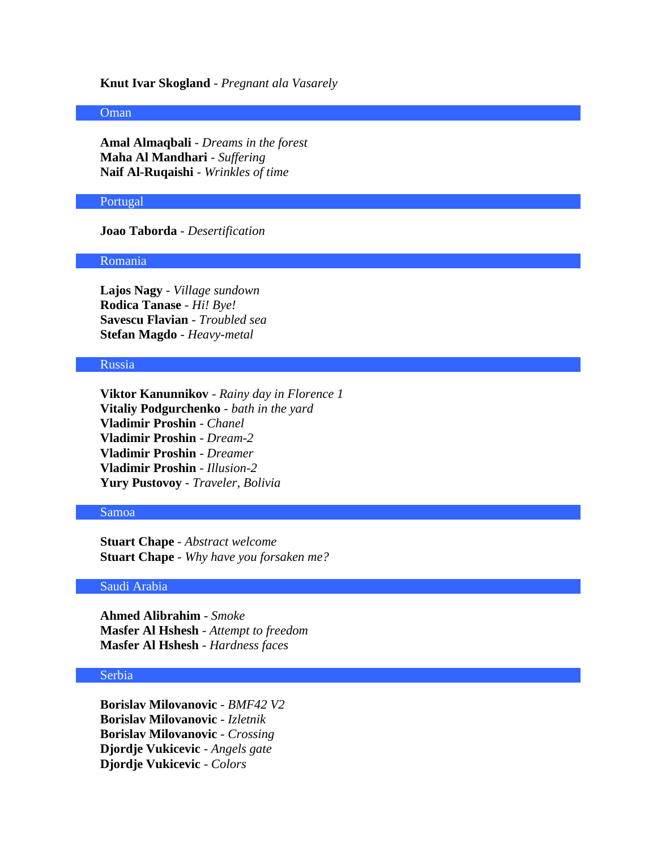# **Knut Ivar Skogland** - *Pregnant ala Vasarely*

# Oman

**Amal Almaqbali** - *Dreams in the forest* **Maha Al Mandhari** - *Suffering* **Naif Al-Ruqaishi** - *Wrinkles of time*

#### Portugal

# **Joao Taborda** - *Desertification*

#### Romania

**Lajos Nagy** - *Village sundown* **Rodica Tanase** - *Hi! Bye!* **Savescu Flavian** - *Troubled sea* **Stefan Magdo** - *Heavy-metal*

#### Russia

**Viktor Kanunnikov** - *Rainy day in Florence 1* **Vitaliy Podgurchenko** - *bath in the yard* **Vladimir Proshin** - *Chanel* **Vladimir Proshin** - *Dream-2* **Vladimir Proshin** - *Dreamer* **Vladimir Proshin** - *Illusion-2* **Yury Pustovoy** - *Traveler, Bolivia*

# Samoa

**Stuart Chape** - *Abstract welcome* **Stuart Chape** - *Why have you forsaken me?*

## Saudi Arabia

**Ahmed Alibrahim** - *Smoke* **Masfer Al Hshesh** - *Attempt to freedom* **Masfer Al Hshesh** - *Hardness faces*

# Serbia

**Borislav Milovanovic** - *BMF42 V2* **Borislav Milovanovic** - *Izletnik* **Borislav Milovanovic** - *Crossing* **Djordje Vukicevic** - *Angels gate* **Djordje Vukicevic** - *Colors*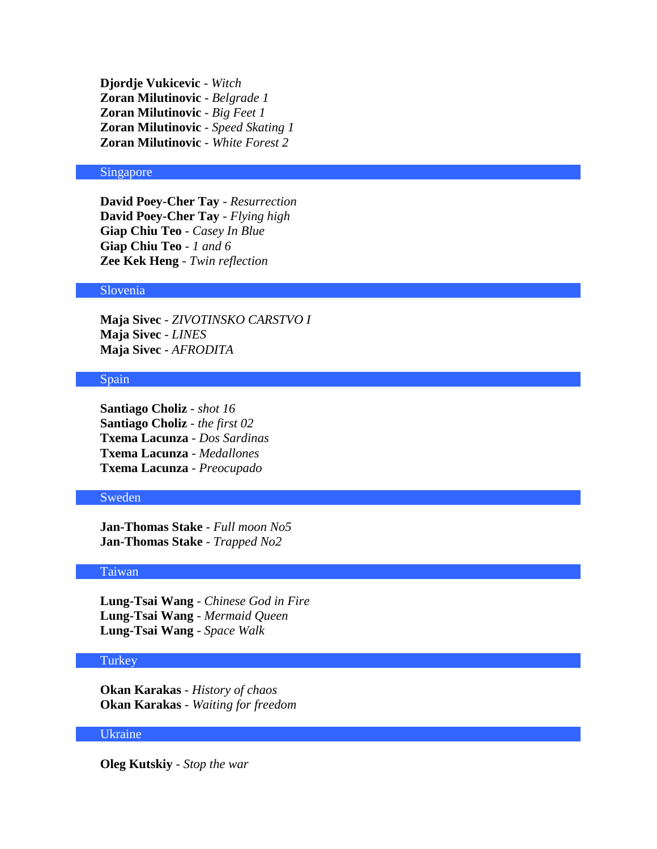**Djordje Vukicevic** - *Witch* **Zoran Milutinovic** - *Belgrade 1* **Zoran Milutinovic** - *Big Feet 1* **Zoran Milutinovic** - *Speed Skating 1* **Zoran Milutinovic** - *White Forest 2*

#### Singapore

**David Poey-Cher Tay** - *Resurrection* **David Poey-Cher Tay** - *Flying high* **Giap Chiu Teo** - *Casey In Blue* **Giap Chiu Teo** - *1 and 6* **Zee Kek Heng** - *Twin reflection*

# Slovenia

**Maja Sivec** - *ZIVOTINSKO CARSTVO I* **Maja Sivec** - *LINES* **Maja Sivec** - *AFRODITA*

### Spain

**Santiago Choliz** - *shot 16* **Santiago Choliz** - *the first 02* **Txema Lacunza** - *Dos Sardinas* **Txema Lacunza** - *Medallones* **Txema Lacunza** - *Preocupado*

# Sweden

**Jan-Thomas Stake** - *Full moon No5* **Jan-Thomas Stake** - *Trapped No2*

### Taiwan

**Lung-Tsai Wang** - *Chinese God in Fire* **Lung-Tsai Wang** - *Mermaid Queen* **Lung-Tsai Wang** - *Space Walk*

#### Turkey

**Okan Karakas** - *History of chaos* **Okan Karakas** - *Waiting for freedom*

# Ukraine

**Oleg Kutskiy** - *Stop the war*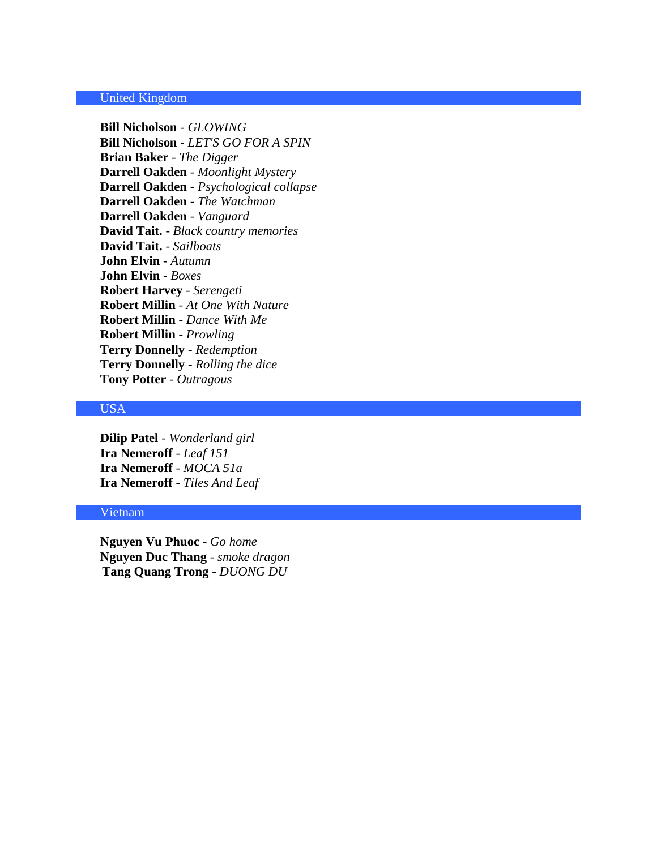# United Kingdom

**Bill Nicholson** - *GLOWING* **Bill Nicholson** - *LET'S GO FOR A SPIN* **Brian Baker** - *The Digger* **Darrell Oakden** - *Moonlight Mystery* **Darrell Oakden** - *Psychological collapse* **Darrell Oakden** - *The Watchman* **Darrell Oakden** - *Vanguard* **David Tait.** - *Black country memories* **David Tait.** - *Sailboats* **John Elvin** - *Autumn* **John Elvin** - *Boxes* **Robert Harvey** - *Serengeti* **Robert Millin** - *At One With Nature* **Robert Millin** - *Dance With Me* **Robert Millin** - *Prowling* **Terry Donnelly** - *Redemption* **Terry Donnelly** - *Rolling the dice* **Tony Potter** - *Outragous*

# USA

**Dilip Patel** - *Wonderland girl* **Ira Nemeroff** - *Leaf 151* **Ira Nemeroff** - *MOCA 51a* **Ira Nemeroff** - *Tiles And Leaf*

#### Vietnam

**Nguyen Vu Phuoc** - *Go home* **Nguyen Duc Thang** - *smoke dragon* **Tang Quang Trong** - *DUONG DU*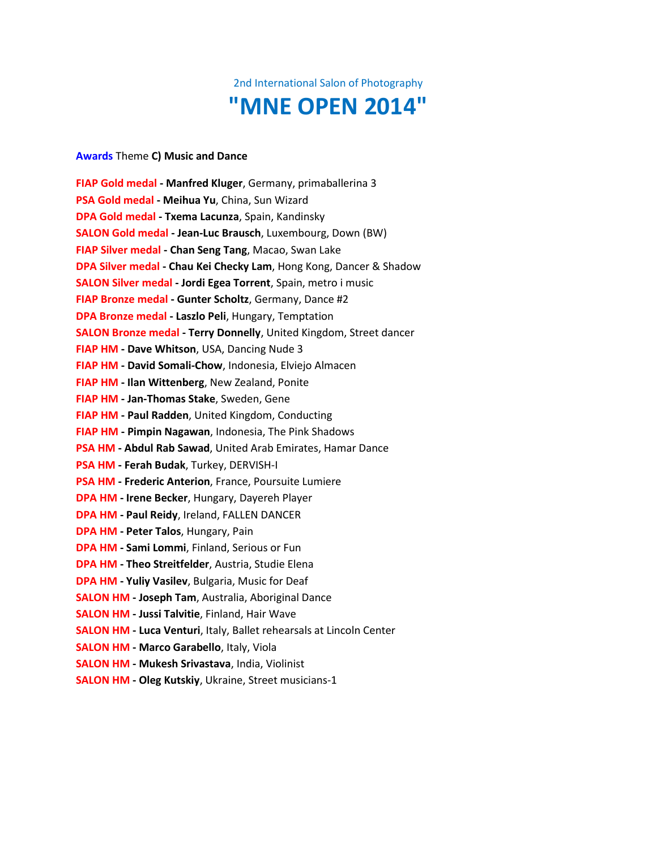

#### **Awards** Theme **C) Music and Dance**

**FIAP Gold medal - Manfred Kluger**, Germany, primaballerina 3 **PSA Gold medal - Meihua Yu**, China, Sun Wizard **DPA Gold medal - Txema Lacunza**, Spain, Kandinsky **SALON Gold medal - Jean-Luc Brausch**, Luxembourg, Down (BW) **FIAP Silver medal - Chan Seng Tang**, Macao, Swan Lake **DPA Silver medal - Chau Kei Checky Lam**, Hong Kong, Dancer & Shadow **SALON Silver medal - Jordi Egea Torrent**, Spain, metro i music **FIAP Bronze medal - Gunter Scholtz**, Germany, Dance #2 **DPA Bronze medal - Laszlo Peli**, Hungary, Temptation **SALON Bronze medal - Terry Donnelly**, United Kingdom, Street dancer **FIAP HM - Dave Whitson**, USA, Dancing Nude 3 **FIAP HM - David Somali-Chow**, Indonesia, Elviejo Almacen **FIAP HM - Ilan Wittenberg**, New Zealand, Ponite **FIAP HM - Jan-Thomas Stake**, Sweden, Gene **FIAP HM - Paul Radden**, United Kingdom, Conducting **FIAP HM - Pimpin Nagawan**, Indonesia, The Pink Shadows **PSA HM - Abdul Rab Sawad**, United Arab Emirates, Hamar Dance **PSA HM - Ferah Budak**, Turkey, DERVISH-I **PSA HM - Frederic Anterion**, France, Poursuite Lumiere **DPA HM - Irene Becker**, Hungary, Dayereh Player **DPA HM - Paul Reidy**, Ireland, FALLEN DANCER **DPA HM - Peter Talos**, Hungary, Pain **DPA HM - Sami Lommi**, Finland, Serious or Fun **DPA HM - Theo Streitfelder**, Austria, Studie Elena **DPA HM - Yuliy Vasilev**, Bulgaria, Music for Deaf **SALON HM - Joseph Tam**, Australia, Aboriginal Dance **SALON HM - Jussi Talvitie**, Finland, Hair Wave **SALON HM - Luca Venturi**, Italy, Ballet rehearsals at Lincoln Center **SALON HM - Marco Garabello**, Italy, Viola **SALON HM - Mukesh Srivastava**, India, Violinist **SALON HM - Oleg Kutskiy**, Ukraine, Street musicians-1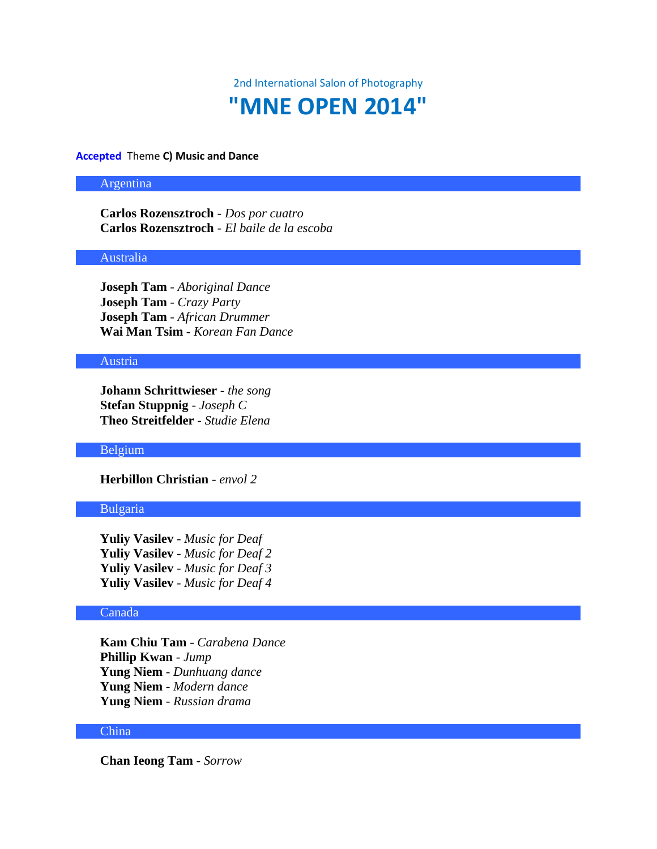2nd International Salon of Photography

# **"MNE OPEN 2014"**

#### **Accepted** Theme **C) Music and Dance**

### Argentina

**Carlos Rozensztroch** - *Dos por cuatro* **Carlos Rozensztroch** - *El baile de la escoba*

# Australia

**Joseph Tam** - *Aboriginal Dance* **Joseph Tam** - *Crazy Party* **Joseph Tam** - *African Drummer* **Wai Man Tsim** - *Korean Fan Dance*

# Austria

**Johann Schrittwieser** - *the song* **Stefan Stuppnig** - *Joseph C* **Theo Streitfelder** - *Studie Elena*

# Belgium

**Herbillon Christian** - *envol 2*

# Bulgaria

**Yuliy Vasilev** - *Music for Deaf* **Yuliy Vasilev** - *Music for Deaf 2* **Yuliy Vasilev** - *Music for Deaf 3* **Yuliy Vasilev** - *Music for Deaf 4*

# Canada

**Kam Chiu Tam** - *Carabena Dance* **Phillip Kwan** - *Jump* **Yung Niem** - *Dunhuang dance* **Yung Niem** - *Modern dance* **Yung Niem** - *Russian drama*

# China

**Chan Ieong Tam** - *Sorrow*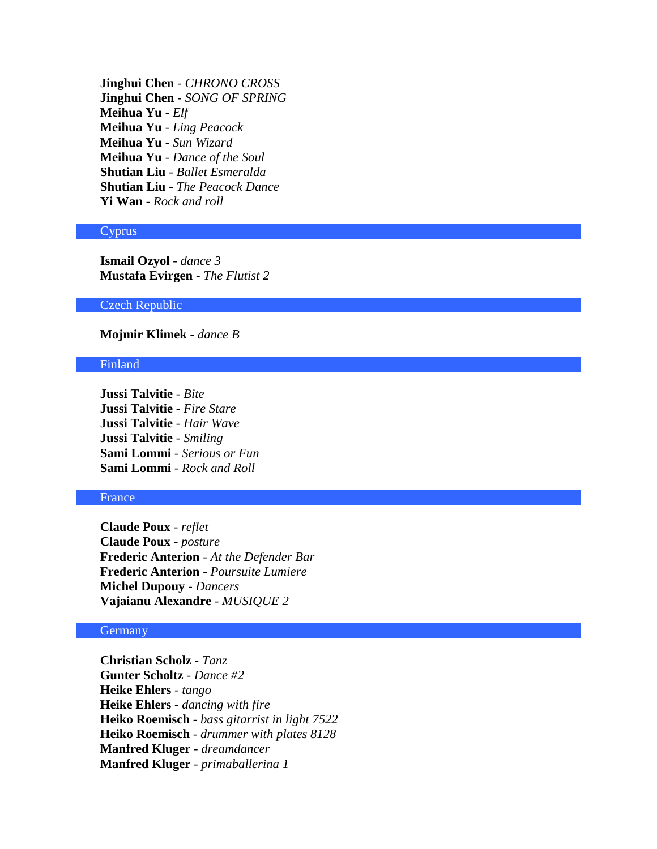**Jinghui Chen** - *CHRONO CROSS* **Jinghui Chen** - *SONG OF SPRING* **Meihua Yu** - *Elf* **Meihua Yu** - *Ling Peacock* **Meihua Yu** - *Sun Wizard* **Meihua Yu** - *Dance of the Soul* **Shutian Liu** - *Ballet Esmeralda* **Shutian Liu** - *The Peacock Dance* **Yi Wan** - *Rock and roll*

#### Cyprus

**Ismail Ozyol** - *dance 3* **Mustafa Evirgen** - *The Flutist 2*

#### Czech Republic

# **Mojmir Klimek** - *dance B*

#### Finland

**Jussi Talvitie** - *Bite* **Jussi Talvitie** - *Fire Stare* **Jussi Talvitie** - *Hair Wave* **Jussi Talvitie** - *Smiling* **Sami Lommi** - *Serious or Fun* **Sami Lommi** - *Rock and Roll*

#### France

**Claude Poux** - *reflet* **Claude Poux** - *posture* **Frederic Anterion** - *At the Defender Bar* **Frederic Anterion** - *Poursuite Lumiere* **Michel Dupouy** - *Dancers* **Vajaianu Alexandre** - *MUSIQUE 2*

#### Germany

**Christian Scholz** - *Tanz* **Gunter Scholtz** - *Dance #2* **Heike Ehlers** - *tango* **Heike Ehlers** - *dancing with fire* **Heiko Roemisch** - *bass gitarrist in light 7522* **Heiko Roemisch** - *drummer with plates 8128* **Manfred Kluger** - *dreamdancer* **Manfred Kluger** - *primaballerina 1*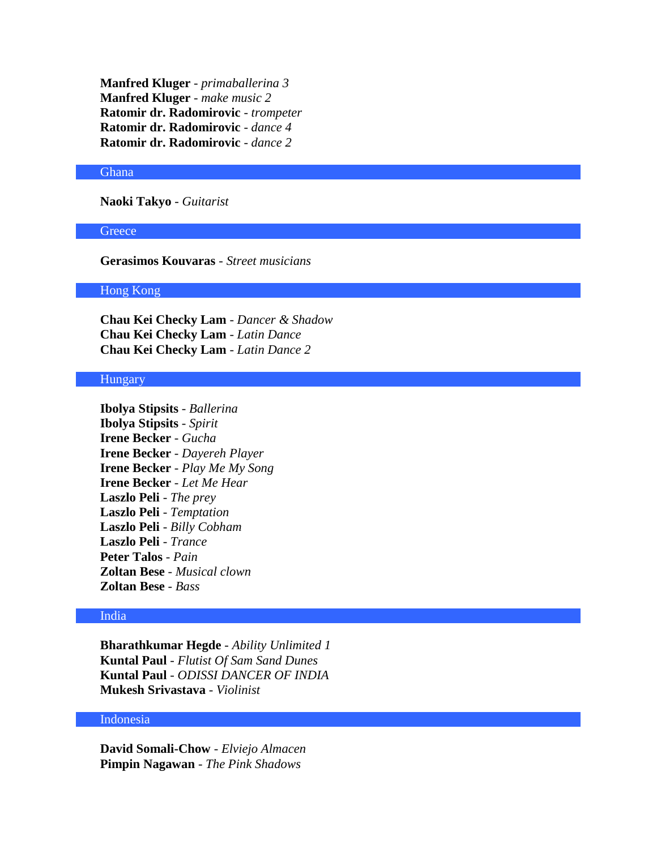**Manfred Kluger** - *primaballerina 3* **Manfred Kluger** - *make music 2* **Ratomir dr. Radomirovic** - *trompeter* **Ratomir dr. Radomirovic** - *dance 4* **Ratomir dr. Radomirovic** - *dance 2*

#### **Ghana**

**Naoki Takyo** - *Guitarist*

#### **Greece**

**Gerasimos Kouvaras** - *Street musicians*

# Hong Kong

**Chau Kei Checky Lam** - *Dancer & Shadow* **Chau Kei Checky Lam** - *Latin Dance* **Chau Kei Checky Lam** - *Latin Dance 2*

#### Hungary

**Ibolya Stipsits** - *Ballerina* **Ibolya Stipsits** - *Spirit* **Irene Becker** - *Gucha* **Irene Becker** - *Dayereh Player* **Irene Becker** - *Play Me My Song* **Irene Becker** - *Let Me Hear* **Laszlo Peli** - *The prey* **Laszlo Peli** - *Temptation* **Laszlo Peli** - *Billy Cobham* **Laszlo Peli** - *Trance* **Peter Talos** - *Pain* **Zoltan Bese** - *Musical clown* **Zoltan Bese** - *Bass*

## India

**Bharathkumar Hegde** - *Ability Unlimited 1* **Kuntal Paul** - *Flutist Of Sam Sand Dunes* **Kuntal Paul** - *ODISSI DANCER OF INDIA* **Mukesh Srivastava** - *Violinist*

# Indonesia

**David Somali-Chow** - *Elviejo Almacen* **Pimpin Nagawan** - *The Pink Shadows*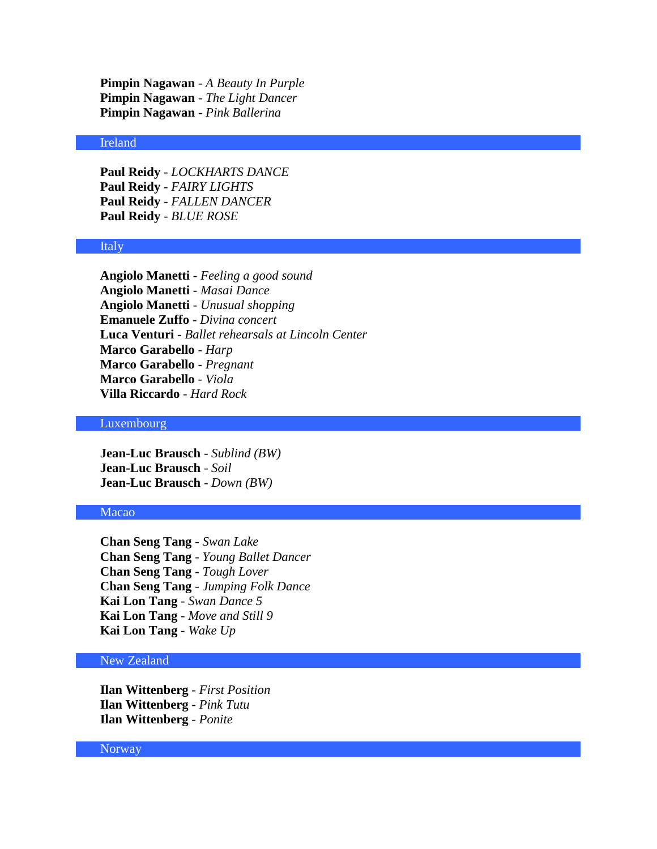**Pimpin Nagawan** - *A Beauty In Purple* **Pimpin Nagawan** - *The Light Dancer* **Pimpin Nagawan** - *Pink Ballerina*

# Ireland

**Paul Reidy** - *LOCKHARTS DANCE* **Paul Reidy** - *FAIRY LIGHTS* **Paul Reidy** - *FALLEN DANCER* **Paul Reidy** - *BLUE ROSE*

#### Italy

**Angiolo Manetti** - *Feeling a good sound* **Angiolo Manetti** - *Masai Dance* **Angiolo Manetti** - *Unusual shopping* **Emanuele Zuffo** - *Divina concert* **Luca Venturi** - *Ballet rehearsals at Lincoln Center* **Marco Garabello** - *Harp* **Marco Garabello** - *Pregnant* **Marco Garabello** - *Viola* **Villa Riccardo** - *Hard Rock*

# Luxembourg

**Jean-Luc Brausch** - *Sublind (BW)* **Jean-Luc Brausch** - *Soil* **Jean-Luc Brausch** - *Down (BW)*

#### Macao

**Chan Seng Tang** - *Swan Lake* **Chan Seng Tang** - *Young Ballet Dancer* **Chan Seng Tang** - *Tough Lover* **Chan Seng Tang** - *Jumping Folk Dance* **Kai Lon Tang** - *Swan Dance 5* **Kai Lon Tang** - *Move and Still 9* **Kai Lon Tang** - *Wake Up*

# New Zealand

**Ilan Wittenberg** - *First Position* **Ilan Wittenberg** - *Pink Tutu* **Ilan Wittenberg** - *Ponite*

#### **Norway**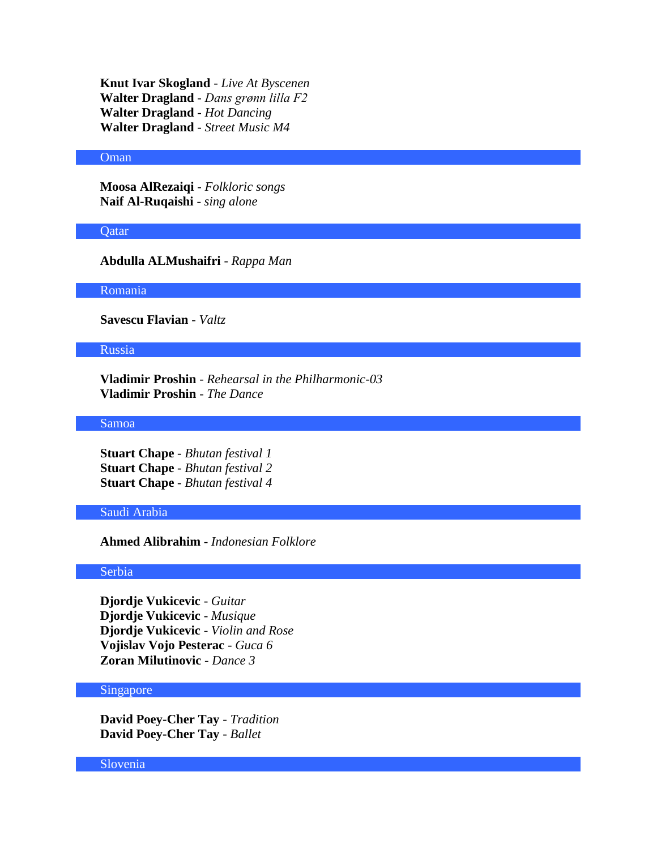**Knut Ivar Skogland** - *Live At Byscenen* **Walter Dragland** - *Dans grønn lilla F2* **Walter Dragland** - *Hot Dancing* **Walter Dragland** - *Street Music M4*

#### Oman

**Moosa AlRezaiqi** - *Folkloric songs* **Naif Al-Ruqaishi** - *sing alone*

#### Qatar

**Abdulla ALMushaifri** - *Rappa Man*

Romania

**Savescu Flavian** - *Valtz*

## Russia

**Vladimir Proshin** - *Rehearsal in the Philharmonic-03* **Vladimir Proshin** - *The Dance*

#### Samoa

**Stuart Chape** - *Bhutan festival 1* **Stuart Chape** - *Bhutan festival 2* **Stuart Chape** - *Bhutan festival 4*

#### Saudi Arabia

**Ahmed Alibrahim** - *Indonesian Folklore*

### Serbia

**Djordje Vukicevic** - *Guitar* **Djordje Vukicevic** - *Musique* **Djordje Vukicevic** - *Violin and Rose* **Vojislav Vojo Pesterac** - *Guca 6* **Zoran Milutinovic** - *Dance 3*

# Singapore

**David Poey-Cher Tay** - *Tradition* **David Poey-Cher Tay** - *Ballet*

Slovenia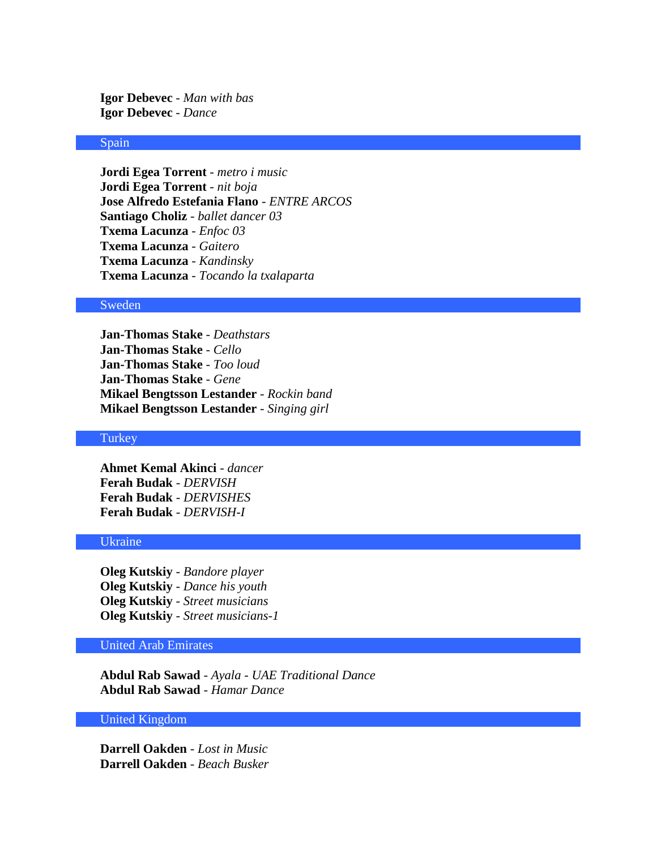**Igor Debevec** - *Man with bas* **Igor Debevec** - *Dance*

# Spain

**Jordi Egea Torrent** - *metro i music* **Jordi Egea Torrent** - *nit boja* **Jose Alfredo Estefania Flano** - *ENTRE ARCOS* **Santiago Choliz** - *ballet dancer 03* **Txema Lacunza** - *Enfoc 03* **Txema Lacunza** - *Gaitero* **Txema Lacunza** - *Kandinsky* **Txema Lacunza** - *Tocando la txalaparta*

# Sweden

**Jan-Thomas Stake** - *Deathstars* **Jan-Thomas Stake** - *Cello* **Jan-Thomas Stake** - *Too loud* **Jan-Thomas Stake** - *Gene* **Mikael Bengtsson Lestander** - *Rockin band* **Mikael Bengtsson Lestander** - *Singing girl*

#### **Turkey**

**Ahmet Kemal Akinci** - *dancer* **Ferah Budak** - *DERVISH* **Ferah Budak** - *DERVISHES* **Ferah Budak** - *DERVISH-I*

# Ukraine

**Oleg Kutskiy** - *Bandore player* **Oleg Kutskiy** - *Dance his youth* **Oleg Kutskiy** - *Street musicians* **Oleg Kutskiy** - *Street musicians-1*

# United Arab Emirates

**Abdul Rab Sawad** - *Ayala - UAE Traditional Dance* **Abdul Rab Sawad** - *Hamar Dance*

# United Kingdom

**Darrell Oakden** - *Lost in Music* **Darrell Oakden** - *Beach Busker*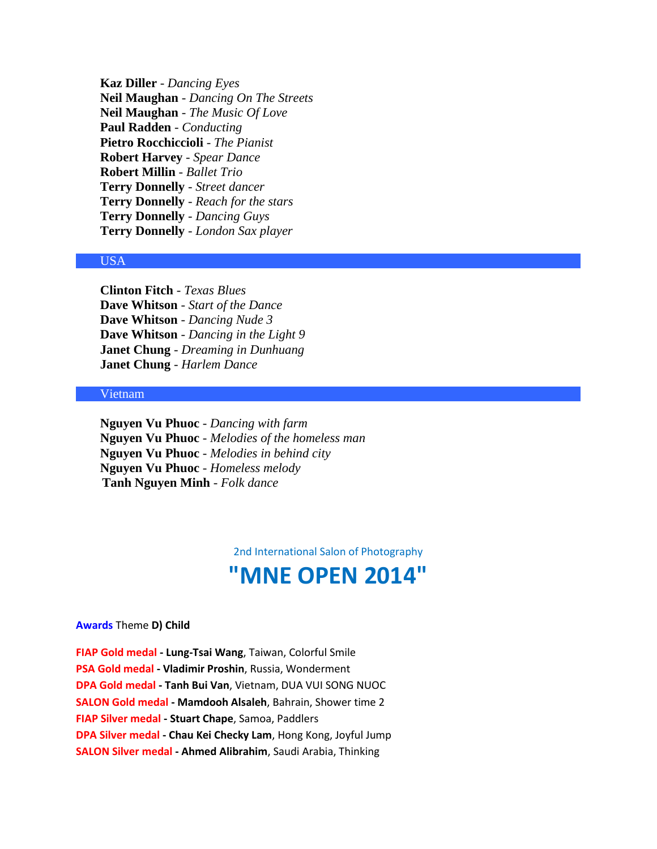**Kaz Diller** - *Dancing Eyes* **Neil Maughan** - *Dancing On The Streets* **Neil Maughan** - *The Music Of Love* **Paul Radden** - *Conducting* **Pietro Rocchiccioli** - *The Pianist* **Robert Harvey** - *Spear Dance* **Robert Millin** - *Ballet Trio* **Terry Donnelly** - *Street dancer* **Terry Donnelly** - *Reach for the stars* **Terry Donnelly** - *Dancing Guys* **Terry Donnelly** - *London Sax player*

# USA

**Clinton Fitch** - *Texas Blues* **Dave Whitson** - *Start of the Dance* **Dave Whitson** - *Dancing Nude 3* **Dave Whitson** - *Dancing in the Light 9* **Janet Chung** - *Dreaming in Dunhuang* **Janet Chung** - *Harlem Dance*

#### Vietnam

**Nguyen Vu Phuoc** - *Dancing with farm* **Nguyen Vu Phuoc** - *Melodies of the homeless man* **Nguyen Vu Phuoc** - *Melodies in behind city* **Nguyen Vu Phuoc** - *Homeless melody* **Tanh Nguyen Minh** - *Folk dance*

> 2nd International Salon of Photography **"MNE OPEN 2014"**

#### **Awards** Theme **D) Child**

**FIAP Gold medal - Lung-Tsai Wang**, Taiwan, Colorful Smile **PSA Gold medal - Vladimir Proshin**, Russia, Wonderment **DPA Gold medal - Tanh Bui Van**, Vietnam, DUA VUI SONG NUOC **SALON Gold medal - Mamdooh Alsaleh**, Bahrain, Shower time 2 **FIAP Silver medal - Stuart Chape**, Samoa, Paddlers **DPA Silver medal - Chau Kei Checky Lam**, Hong Kong, Joyful Jump **SALON Silver medal - Ahmed Alibrahim**, Saudi Arabia, Thinking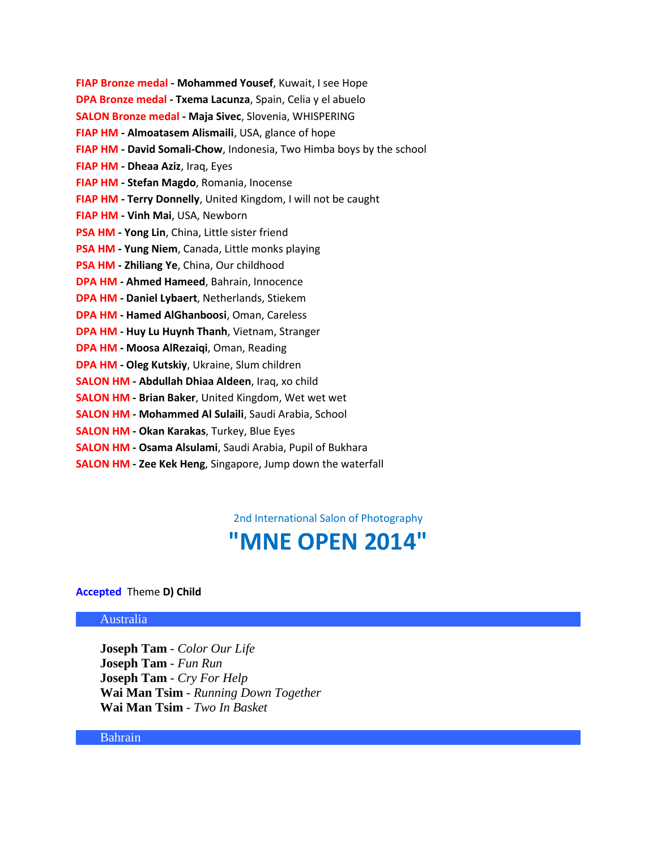**FIAP Bronze medal - Mohammed Yousef**, Kuwait, I see Hope **DPA Bronze medal - Txema Lacunza**, Spain, Celia y el abuelo **SALON Bronze medal - Maja Sivec**, Slovenia, WHISPERING **FIAP HM - Almoatasem Alismaili**, USA, glance of hope **FIAP HM - David Somali-Chow**, Indonesia, Two Himba boys by the school **FIAP HM - Dheaa Aziz**, Iraq, Eyes **FIAP HM - Stefan Magdo**, Romania, Inocense **FIAP HM - Terry Donnelly**, United Kingdom, I will not be caught **FIAP HM - Vinh Mai**, USA, Newborn **PSA HM - Yong Lin**, China, Little sister friend **PSA HM - Yung Niem**, Canada, Little monks playing **PSA HM - Zhiliang Ye**, China, Our childhood **DPA HM - Ahmed Hameed**, Bahrain, Innocence **DPA HM - Daniel Lybaert**, Netherlands, Stiekem **DPA HM - Hamed AlGhanboosi**, Oman, Careless **DPA HM - Huy Lu Huynh Thanh**, Vietnam, Stranger **DPA HM - Moosa AlRezaiqi**, Oman, Reading **DPA HM - Oleg Kutskiy**, Ukraine, Slum children **SALON HM - Abdullah Dhiaa Aldeen**, Iraq, xo child **SALON HM - Brian Baker**, United Kingdom, Wet wet wet **SALON HM - Mohammed Al Sulaili**, Saudi Arabia, School **SALON HM - Okan Karakas**, Turkey, Blue Eyes **SALON HM - Osama Alsulami**, Saudi Arabia, Pupil of Bukhara

**SALON HM - Zee Kek Heng**, Singapore, Jump down the waterfall

2nd International Salon of Photography

# **"MNE OPEN 2014"**

# **Accepted** Theme **D) Child**

#### Australia

**Joseph Tam** - *Color Our Life* **Joseph Tam** - *Fun Run* **Joseph Tam** - *Cry For Help* **Wai Man Tsim** - *Running Down Together* **Wai Man Tsim** - *Two In Basket*

# Bahrain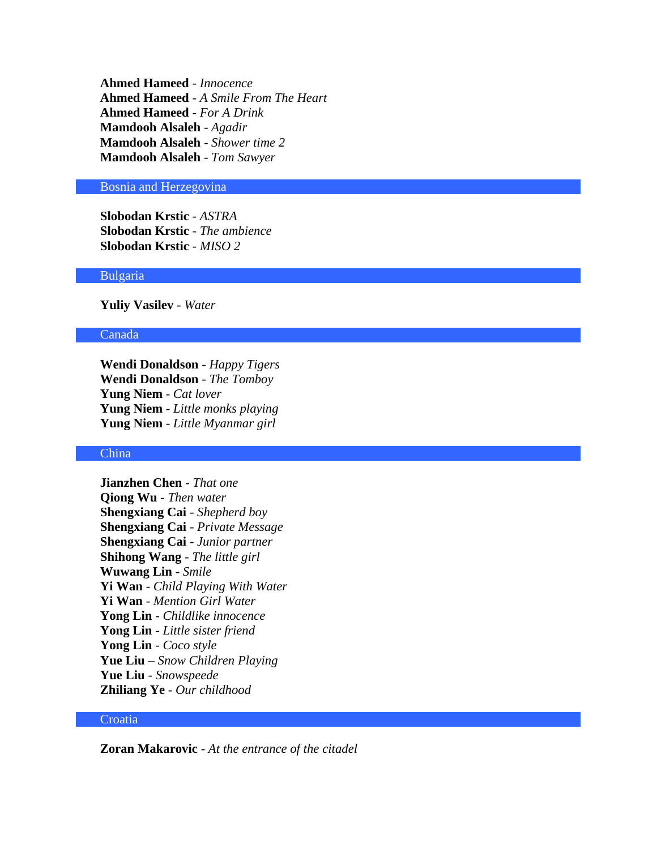**Ahmed Hameed** - *Innocence* **Ahmed Hameed** - *A Smile From The Heart* **Ahmed Hameed** - *For A Drink* **Mamdooh Alsaleh** - *Agadir* **Mamdooh Alsaleh** - *Shower time 2* **Mamdooh Alsaleh** - *Tom Sawyer*

#### Bosnia and Herzegovina

**Slobodan Krstic** - *ASTRA* **Slobodan Krstic** - *The ambience* **Slobodan Krstic** - *MISO 2*

## Bulgaria

**Yuliy Vasilev** - *Water*

#### Canada

**Wendi Donaldson** - *Happy Tigers* **Wendi Donaldson** - *The Tomboy* **Yung Niem** - *Cat lover* **Yung Niem** - *Little monks playing* **Yung Niem** - *Little Myanmar girl*

# China

**Jianzhen Chen** - *That one* **Qiong Wu** - *Then water* **Shengxiang Cai** - *Shepherd boy* **Shengxiang Cai** - *Private Message* **Shengxiang Cai** - *Junior partner* **Shihong Wang** - *The little girl* **Wuwang Lin** - *Smile* **Yi Wan** - *Child Playing With Water* **Yi Wan** - *Mention Girl Water* **Yong Lin** - *Childlike innocence* **Yong Lin** - *Little sister friend* **Yong Lin** - *Coco style* **Yue Liu** – *Snow Children Playing* **Yue Liu** - *Snowspeede* **Zhiliang Ye** - *Our childhood*

# **Croatia**

**Zoran Makarovic** - *At the entrance of the citadel*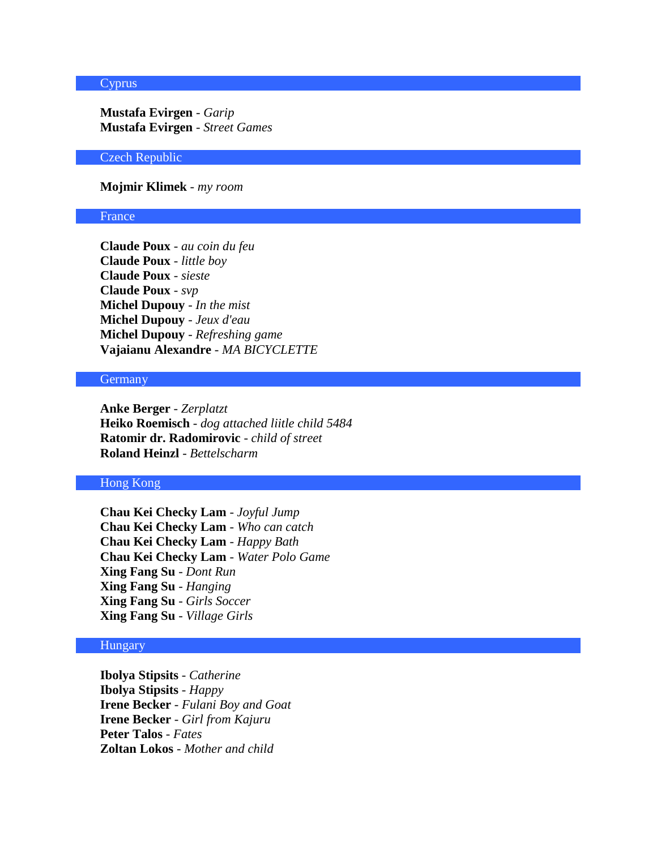#### Cyprus

**Mustafa Evirgen** - *Garip* **Mustafa Evirgen** - *Street Games*

# Czech Republic

#### **Mojmir Klimek** - *my room*

# France

**Claude Poux** - *au coin du feu* **Claude Poux** - *little boy* **Claude Poux** - *sieste* **Claude Poux** - *svp* **Michel Dupouy** - *In the mist* **Michel Dupouy** - *Jeux d'eau* **Michel Dupouy** - *Refreshing game* **Vajaianu Alexandre** - *MA BICYCLETTE*

# **Germany**

**Anke Berger** - *Zerplatzt* **Heiko Roemisch** - *dog attached liitle child 5484* **Ratomir dr. Radomirovic** - *child of street* **Roland Heinzl** - *Bettelscharm*

# Hong Kong

**Chau Kei Checky Lam** - *Joyful Jump* **Chau Kei Checky Lam** - *Who can catch* **Chau Kei Checky Lam** - *Happy Bath* **Chau Kei Checky Lam** - *Water Polo Game* **Xing Fang Su** - *Dont Run* **Xing Fang Su** - *Hanging* **Xing Fang Su** - *Girls Soccer* **Xing Fang Su** - *Village Girls*

# Hungary

**Ibolya Stipsits** - *Catherine* **Ibolya Stipsits** - *Happy* **Irene Becker** - *Fulani Boy and Goat* **Irene Becker** - *Girl from Kajuru* **Peter Talos** - *Fates* **Zoltan Lokos** - *Mother and child*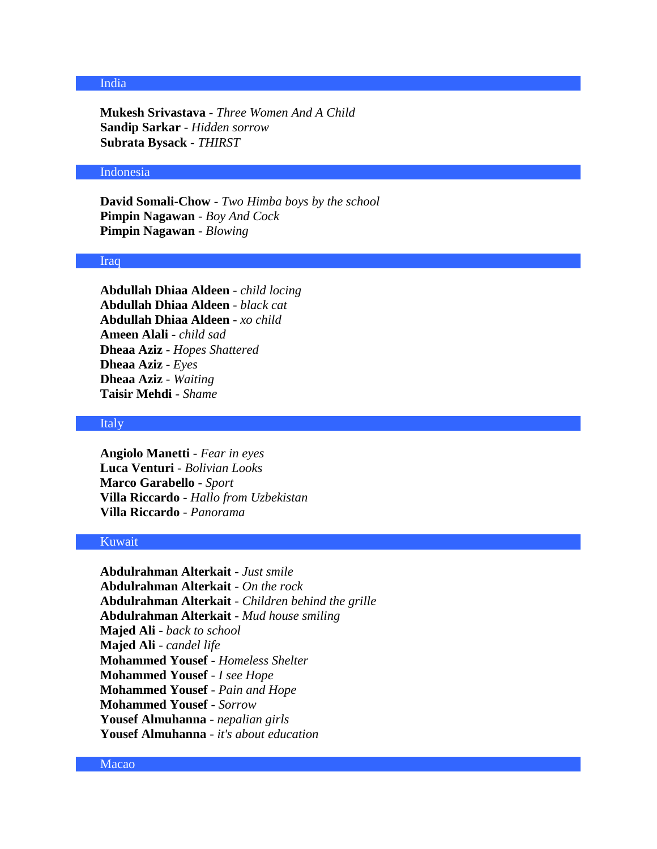# India

**Mukesh Srivastava** - *Three Women And A Child* **Sandip Sarkar** - *Hidden sorrow* **Subrata Bysack** - *THIRST*

### Indonesia

**David Somali-Chow** - *Two Himba boys by the school* **Pimpin Nagawan** - *Boy And Cock* **Pimpin Nagawan** - *Blowing*

#### Iraq

**Abdullah Dhiaa Aldeen** - *child locing* **Abdullah Dhiaa Aldeen** - *black cat* **Abdullah Dhiaa Aldeen** - *xo child* **Ameen Alali** - *child sad* **Dheaa Aziz** - *Hopes Shattered* **Dheaa Aziz** - *Eyes* **Dheaa Aziz** - *Waiting* **Taisir Mehdi** - *Shame*

# Italy

**Angiolo Manetti** - *Fear in eyes* **Luca Venturi** - *Bolivian Looks* **Marco Garabello** - *Sport* **Villa Riccardo** - *Hallo from Uzbekistan* **Villa Riccardo** - *Panorama*

# Kuwait

**Abdulrahman Alterkait** - *Just smile* **Abdulrahman Alterkait** - *On the rock* **Abdulrahman Alterkait** - *Children behind the grille* **Abdulrahman Alterkait** - *Mud house smiling* **Majed Ali** - *back to school* **Majed Ali** - *candel life* **Mohammed Yousef** - *Homeless Shelter* **Mohammed Yousef** - *I see Hope* **Mohammed Yousef** - *Pain and Hope* **Mohammed Yousef** - *Sorrow* **Yousef Almuhanna** - *nepalian girls* **Yousef Almuhanna** - *it's about education*

# Macao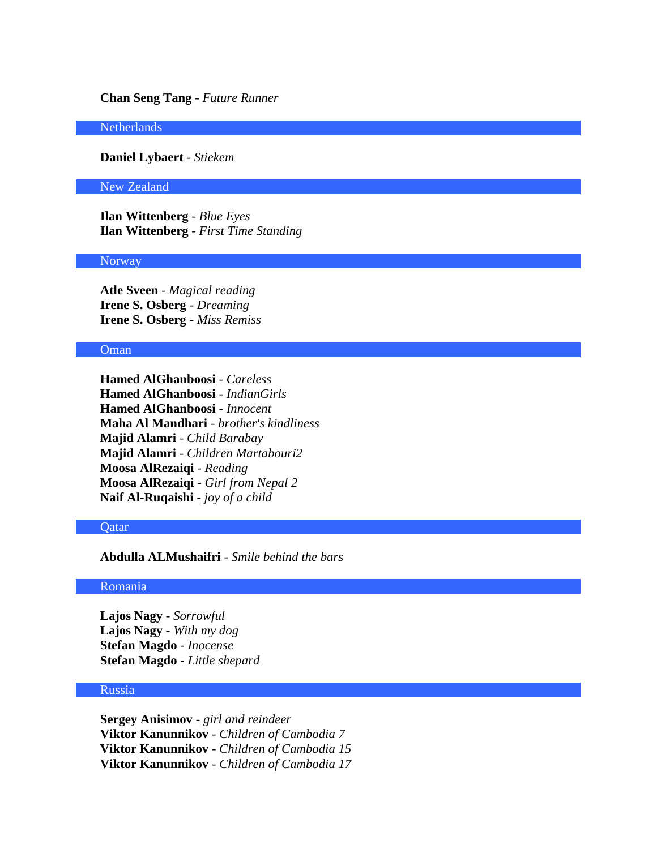**Chan Seng Tang** - *Future Runner*

**Netherlands** 

**Daniel Lybaert** - *Stiekem*

New Zealand

**Ilan Wittenberg** - *Blue Eyes* **Ilan Wittenberg** - *First Time Standing*

### Norway

**Atle Sveen** - *Magical reading* **Irene S. Osberg** - *Dreaming* **Irene S. Osberg** - *Miss Remiss*

# Oman

**Hamed AlGhanboosi** - *Careless* **Hamed AlGhanboosi** - *IndianGirls* **Hamed AlGhanboosi** - *Innocent* **Maha Al Mandhari** - *brother's kindliness* **Majid Alamri** - *Child Barabay* **Majid Alamri** - *Children Martabouri2* **Moosa AlRezaiqi** - *Reading* **Moosa AlRezaiqi** - *Girl from Nepal 2* **Naif Al-Ruqaishi** - *joy of a child*

# **Qatar**

**Abdulla ALMushaifri** - *Smile behind the bars*

#### Romania

**Lajos Nagy** - *Sorrowful* **Lajos Nagy** - *With my dog* **Stefan Magdo** - *Inocense* **Stefan Magdo** - *Little shepard*

# Russia

**Sergey Anisimov** - *girl and reindeer* **Viktor Kanunnikov** - *Children of Cambodia 7* **Viktor Kanunnikov** - *Children of Cambodia 15* **Viktor Kanunnikov** - *Children of Cambodia 17*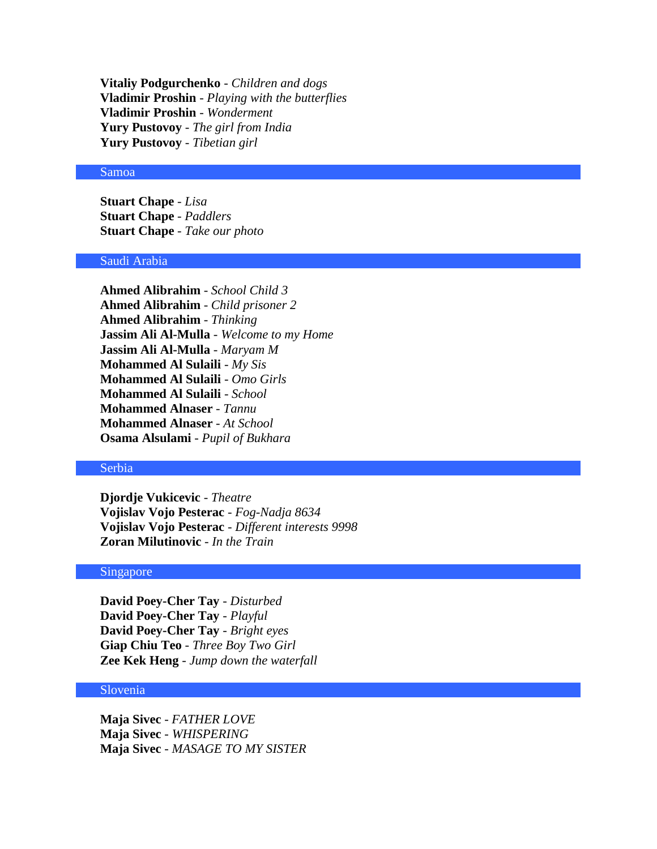**Vitaliy Podgurchenko** - *Children and dogs* **Vladimir Proshin** - *Playing with the butterflies* **Vladimir Proshin** - *Wonderment* **Yury Pustovoy** - *The girl from India* **Yury Pustovoy** - *Tibetian girl*

#### Samoa

**Stuart Chape** - *Lisa* **Stuart Chape** - *Paddlers* **Stuart Chape** - *Take our photo*

### Saudi Arabia

**Ahmed Alibrahim** - *School Child 3* **Ahmed Alibrahim** - *Child prisoner 2* **Ahmed Alibrahim** - *Thinking* **Jassim Ali Al-Mulla** - *Welcome to my Home* **Jassim Ali Al-Mulla** - *Maryam M* **Mohammed Al Sulaili** - *My Sis* **Mohammed Al Sulaili** - *Omo Girls* **Mohammed Al Sulaili** - *School* **Mohammed Alnaser** - *Tannu* **Mohammed Alnaser** - *At School* **Osama Alsulami** - *Pupil of Bukhara*

# Serbia

**Djordje Vukicevic** - *Theatre* **Vojislav Vojo Pesterac** - *Fog-Nadja 8634* **Vojislav Vojo Pesterac** - *Different interests 9998* **Zoran Milutinovic** - *In the Train*

# Singapore

**David Poey-Cher Tay** - *Disturbed* **David Poey-Cher Tay** - *Playful* **David Poey-Cher Tay** - *Bright eyes* **Giap Chiu Teo** - *Three Boy Two Girl* **Zee Kek Heng** - *Jump down the waterfall*

# Slovenia

**Maja Sivec** - *FATHER LOVE* **Maja Sivec** - *WHISPERING* **Maja Sivec** - *MASAGE TO MY SISTER*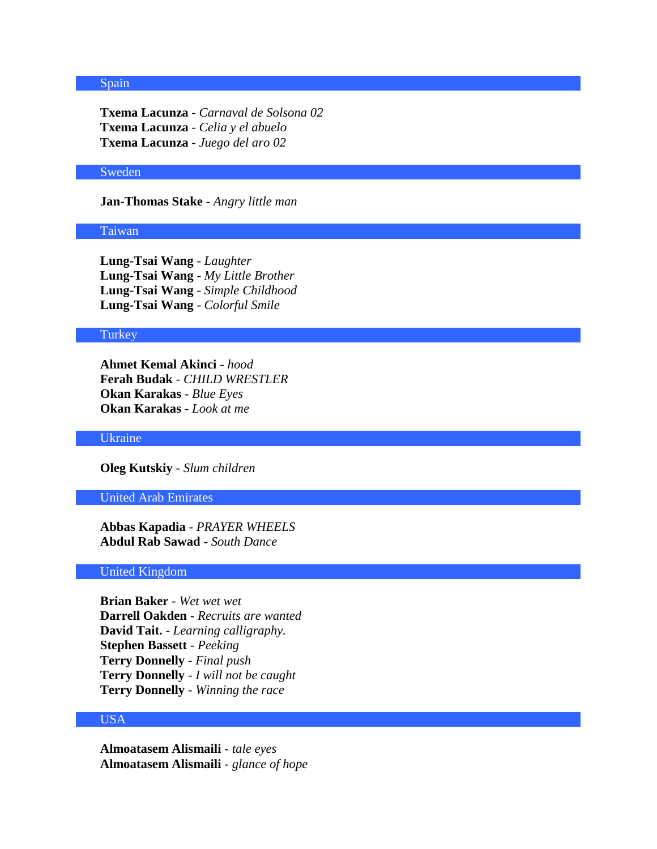## Spain

**Txema Lacunza** - *Carnaval de Solsona 02* **Txema Lacunza** - *Celia y el abuelo* **Txema Lacunza** - *Juego del aro 02*

#### Sweden

**Jan-Thomas Stake** - *Angry little man*

#### Taiwan

**Lung-Tsai Wang** - *Laughter* **Lung-Tsai Wang** - *My Little Brother* **Lung-Tsai Wang** - *Simple Childhood* **Lung-Tsai Wang** - *Colorful Smile*

#### Turkey

**Ahmet Kemal Akinci** - *hood* **Ferah Budak** - *CHILD WRESTLER* **Okan Karakas** - *Blue Eyes* **Okan Karakas** - *Look at me*

#### Ukraine

**Oleg Kutskiy** - *Slum children*

## United Arab Emirates

**Abbas Kapadia** - *PRAYER WHEELS* **Abdul Rab Sawad** - *South Dance*

#### United Kingdom

**Brian Baker** - *Wet wet wet* **Darrell Oakden** - *Recruits are wanted* **David Tait.** - *Learning calligraphy.* **Stephen Bassett** - *Peeking* **Terry Donnelly** - *Final push* **Terry Donnelly** - *I will not be caught* **Terry Donnelly** - *Winning the race*

# USA

**Almoatasem Alismaili** - *tale eyes* **Almoatasem Alismaili** - *glance of hope*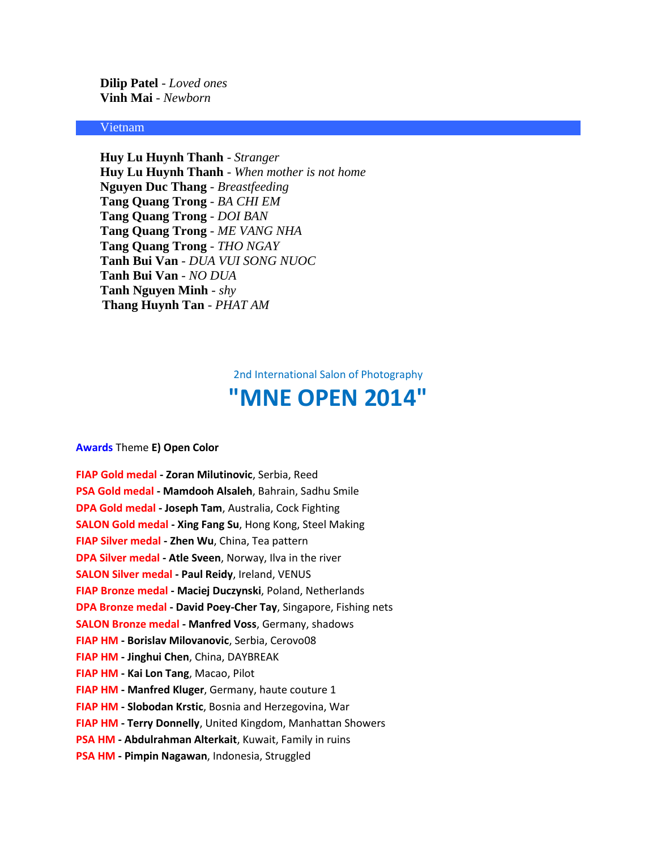**Dilip Patel** - *Loved ones* **Vinh Mai** - *Newborn*

#### Vietnam

**Huy Lu Huynh Thanh** - *Stranger* **Huy Lu Huynh Thanh** - *When mother is not home* **Nguyen Duc Thang** - *Breastfeeding* **Tang Quang Trong** - *BA CHI EM* **Tang Quang Trong** - *DOI BAN* **Tang Quang Trong** - *ME VANG NHA* **Tang Quang Trong** - *THO NGAY* **Tanh Bui Van** - *DUA VUI SONG NUOC* **Tanh Bui Van** - *NO DUA* **Tanh Nguyen Minh** - *shy* **Thang Huynh Tan** - *PHAT AM*

2nd International Salon of Photography

# **"MNE OPEN 2014"**

#### **Awards** Theme **E) Open Color**

**FIAP Gold medal - Zoran Milutinovic**, Serbia, Reed **PSA Gold medal - Mamdooh Alsaleh**, Bahrain, Sadhu Smile **DPA Gold medal - Joseph Tam**, Australia, Cock Fighting **SALON Gold medal - Xing Fang Su**, Hong Kong, Steel Making **FIAP Silver medal - Zhen Wu**, China, Tea pattern **DPA Silver medal - Atle Sveen**, Norway, Ilva in the river **SALON Silver medal - Paul Reidy**, Ireland, VENUS **FIAP Bronze medal - Maciej Duczynski**, Poland, Netherlands **DPA Bronze medal - David Poey-Cher Tay**, Singapore, Fishing nets **SALON Bronze medal - Manfred Voss**, Germany, shadows **FIAP HM - Borislav Milovanovic**, Serbia, Cerovo08 **FIAP HM - Jinghui Chen**, China, DAYBREAK **FIAP HM - Kai Lon Tang**, Macao, Pilot **FIAP HM - Manfred Kluger**, Germany, haute couture 1 **FIAP HM - Slobodan Krstic**, Bosnia and Herzegovina, War **FIAP HM - Terry Donnelly**, United Kingdom, Manhattan Showers **PSA HM - Abdulrahman Alterkait**, Kuwait, Family in ruins **PSA HM - Pimpin Nagawan**, Indonesia, Struggled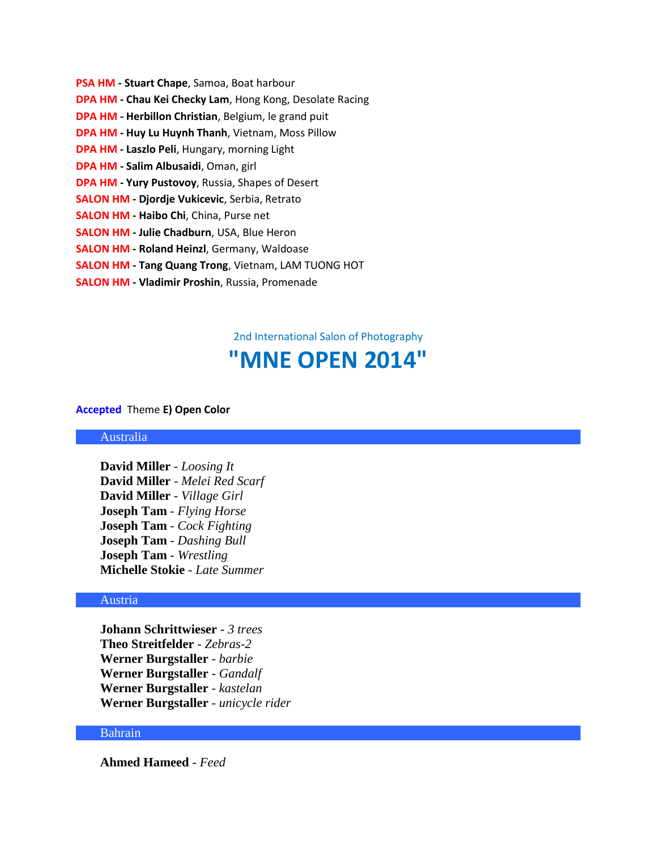- **PSA HM - Stuart Chape**, Samoa, Boat harbour
- **DPA HM - Chau Kei Checky Lam**, Hong Kong, Desolate Racing
- **DPA HM - Herbillon Christian**, Belgium, le grand puit
- **DPA HM - Huy Lu Huynh Thanh**, Vietnam, Moss Pillow
- **DPA HM - Laszlo Peli**, Hungary, morning Light
- **DPA HM - Salim Albusaidi**, Oman, girl
- **DPA HM - Yury Pustovoy**, Russia, Shapes of Desert
- **SALON HM - Djordje Vukicevic**, Serbia, Retrato
- **SALON HM - Haibo Chi**, China, Purse net
- **SALON HM - Julie Chadburn**, USA, Blue Heron
- **SALON HM - Roland Heinzl**, Germany, Waldoase
- **SALON HM - Tang Quang Trong**, Vietnam, LAM TUONG HOT
- **SALON HM - Vladimir Proshin**, Russia, Promenade

2nd International Salon of Photography

# **"MNE OPEN 2014"**

#### **Accepted** Theme **E) Open Color**

#### Australia

**David Miller** - *Loosing It* **David Miller** - *Melei Red Scarf* **David Miller** - *Village Girl* **Joseph Tam** - *Flying Horse* **Joseph Tam** - *Cock Fighting* **Joseph Tam** - *Dashing Bull* **Joseph Tam** - *Wrestling* **Michelle Stokie** - *Late Summer*

#### Austria

**Johann Schrittwieser** - *3 trees* **Theo Streitfelder** - *Zebras-2* **Werner Burgstaller** - *barbie* **Werner Burgstaller** - *Gandalf* **Werner Burgstaller** - *kastelan* **Werner Burgstaller** - *unicycle rider*

#### Bahrain

**Ahmed Hameed** - *Feed*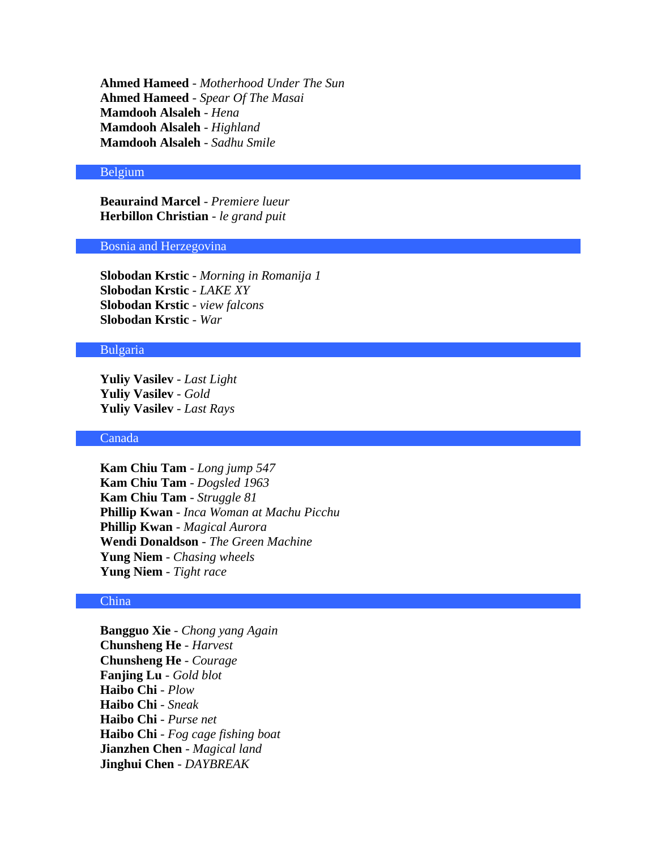**Ahmed Hameed** - *Motherhood Under The Sun* **Ahmed Hameed** - *Spear Of The Masai* **Mamdooh Alsaleh** - *Hena* **Mamdooh Alsaleh** - *Highland* **Mamdooh Alsaleh** - *Sadhu Smile*

### Belgium

**Beauraind Marcel** - *Premiere lueur* **Herbillon Christian** - *le grand puit*

# Bosnia and Herzegovina

**Slobodan Krstic** - *Morning in Romanija 1* **Slobodan Krstic** - *LAKE XY* **Slobodan Krstic** - *view falcons* **Slobodan Krstic** - *War*

# Bulgaria

**Yuliy Vasilev** - *Last Light* **Yuliy Vasilev** - *Gold* **Yuliy Vasilev** - *Last Rays*

#### Canada

**Kam Chiu Tam** - *Long jump 547* **Kam Chiu Tam** - *Dogsled 1963* **Kam Chiu Tam** - *Struggle 81* **Phillip Kwan** - *Inca Woman at Machu Picchu* **Phillip Kwan** - *Magical Aurora* **Wendi Donaldson** - *The Green Machine* **Yung Niem** - *Chasing wheels* **Yung Niem** - *Tight race*

# China

**Bangguo Xie** - *Chong yang Again* **Chunsheng He** - *Harvest* **Chunsheng He** - *Courage* **Fanjing Lu** - *Gold blot* **Haibo Chi** - *Plow* **Haibo Chi** - *Sneak* **Haibo Chi** - *Purse net* **Haibo Chi** - *Fog cage fishing boat* **Jianzhen Chen** - *Magical land* **Jinghui Chen** - *DAYBREAK*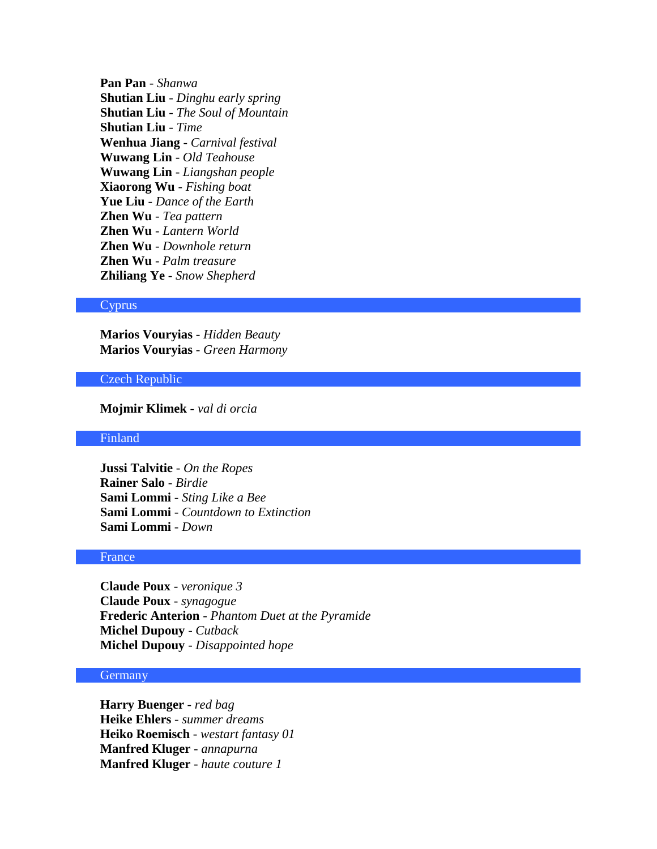**Pan Pan** - *Shanwa* **Shutian Liu** - *Dinghu early spring* **Shutian Liu** - *The Soul of Mountain* **Shutian Liu** - *Time* **Wenhua Jiang** - *Carnival festival* **Wuwang Lin** - *Old Teahouse* **Wuwang Lin** - *Liangshan people* **Xiaorong Wu** - *Fishing boat* **Yue Liu** - *Dance of the Earth* **Zhen Wu** - *Tea pattern* **Zhen Wu** - *Lantern World* **Zhen Wu** - *Downhole return* **Zhen Wu** - *Palm treasure* **Zhiliang Ye** - *Snow Shepherd*

#### Cyprus

**Marios Vouryias** - *Hidden Beauty* **Marios Vouryias** - *Green Harmony*

#### Czech Republic

**Mojmir Klimek** - *val di orcia*

#### Finland

**Jussi Talvitie** - *On the Ropes* **Rainer Salo** - *Birdie* **Sami Lommi** - *Sting Like a Bee* **Sami Lommi** - *Countdown to Extinction* **Sami Lommi** - *Down*

#### France

**Claude Poux** - *veronique 3* **Claude Poux** - *synagogue* **Frederic Anterion** - *Phantom Duet at the Pyramide* **Michel Dupouy** - *Cutback* **Michel Dupouy** - *Disappointed hope*

# **Germany**

**Harry Buenger** - *red bag* **Heike Ehlers** - *summer dreams* **Heiko Roemisch** - *westart fantasy 01* **Manfred Kluger** - *annapurna* **Manfred Kluger** - *haute couture 1*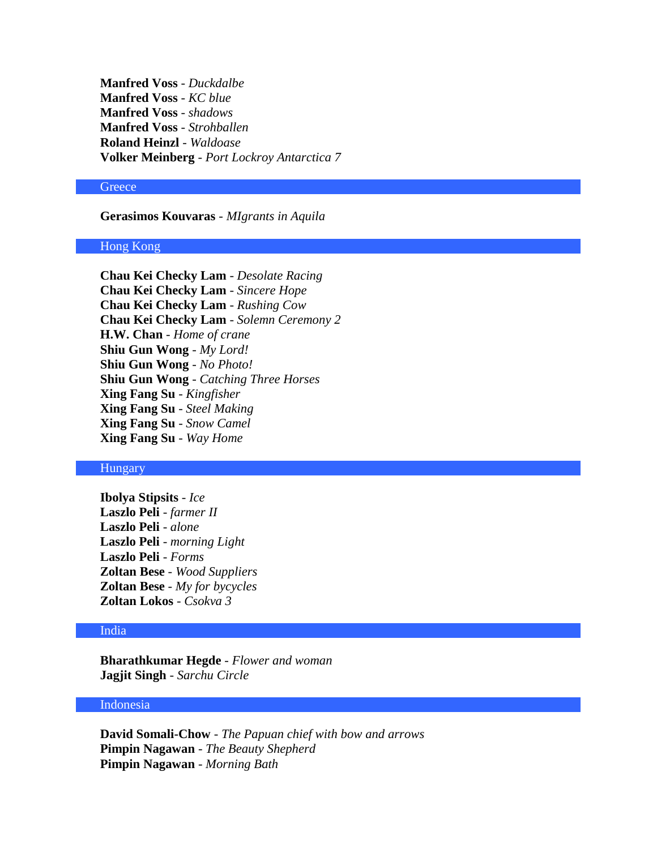**Manfred Voss** - *Duckdalbe* **Manfred Voss** - *KC blue* **Manfred Voss** - *shadows* **Manfred Voss** - *Strohballen* **Roland Heinzl** - *Waldoase* **Volker Meinberg** - *Port Lockroy Antarctica 7*

# **Greece**

**Gerasimos Kouvaras** - *MIgrants in Aquila*

# Hong Kong

**Chau Kei Checky Lam** - *Desolate Racing* **Chau Kei Checky Lam** - *Sincere Hope* **Chau Kei Checky Lam** - *Rushing Cow* **Chau Kei Checky Lam** - *Solemn Ceremony 2* **H.W. Chan** - *Home of crane* **Shiu Gun Wong** - *My Lord!* **Shiu Gun Wong** - *No Photo!* **Shiu Gun Wong** - *Catching Three Horses* **Xing Fang Su** - *Kingfisher* **Xing Fang Su** - *Steel Making* **Xing Fang Su** - *Snow Camel* **Xing Fang Su** - *Way Home*

# **Hungary**

**Ibolya Stipsits** - *Ice* **Laszlo Peli** - *farmer II* **Laszlo Peli** - *alone* **Laszlo Peli** - *morning Light* **Laszlo Peli** - *Forms* **Zoltan Bese** - *Wood Suppliers* **Zoltan Bese** - *My for bycycles* **Zoltan Lokos** - *Csokva 3*

#### India

**Bharathkumar Hegde** - *Flower and woman* **Jagjit Singh** - *Sarchu Circle*

### Indonesia

**David Somali-Chow** - *The Papuan chief with bow and arrows* **Pimpin Nagawan** - *The Beauty Shepherd* **Pimpin Nagawan** - *Morning Bath*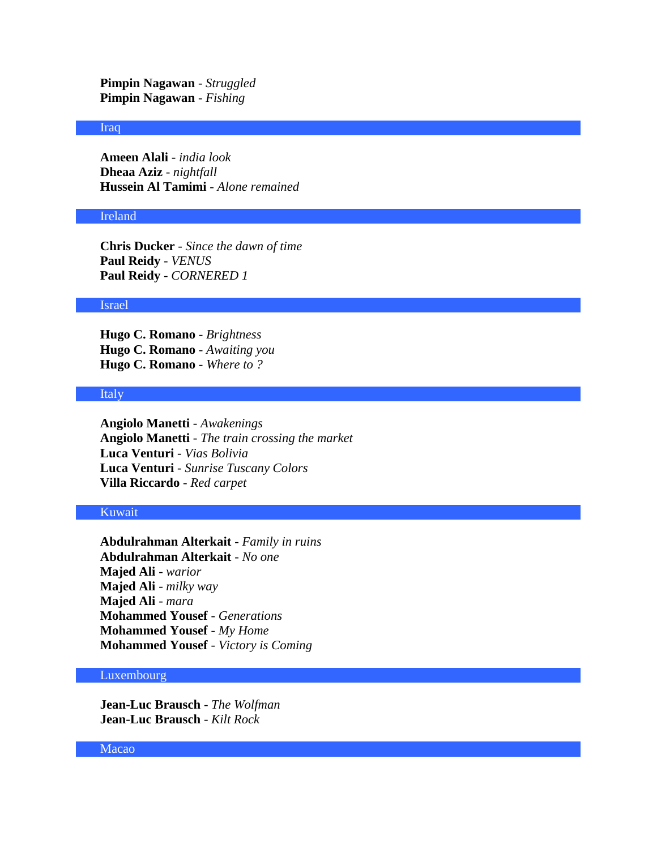**Pimpin Nagawan** - *Struggled* **Pimpin Nagawan** - *Fishing*

#### Iraq

**Ameen Alali** - *india look* **Dheaa Aziz** - *nightfall* **Hussein Al Tamimi** - *Alone remained*

## Ireland

**Chris Ducker** - *Since the dawn of time* **Paul Reidy** - *VENUS* **Paul Reidy** - *CORNERED 1*

#### Israel

**Hugo C. Romano** - *Brightness* **Hugo C. Romano** - *Awaiting you* **Hugo C. Romano** - *Where to ?*

#### Italy

**Angiolo Manetti** - *Awakenings* **Angiolo Manetti** - *The train crossing the market* **Luca Venturi** - *Vias Bolivia* **Luca Venturi** - *Sunrise Tuscany Colors* **Villa Riccardo** - *Red carpet*

# Kuwait

**Abdulrahman Alterkait** - *Family in ruins* **Abdulrahman Alterkait** - *No one* **Majed Ali** - *warior* **Majed Ali** - *milky way* **Majed Ali** - *mara* **Mohammed Yousef** - *Generations* **Mohammed Yousef** - *My Home* **Mohammed Yousef** - *Victory is Coming*

# Luxembourg

**Jean-Luc Brausch** - *The Wolfman* **Jean-Luc Brausch** - *Kilt Rock*

#### Macao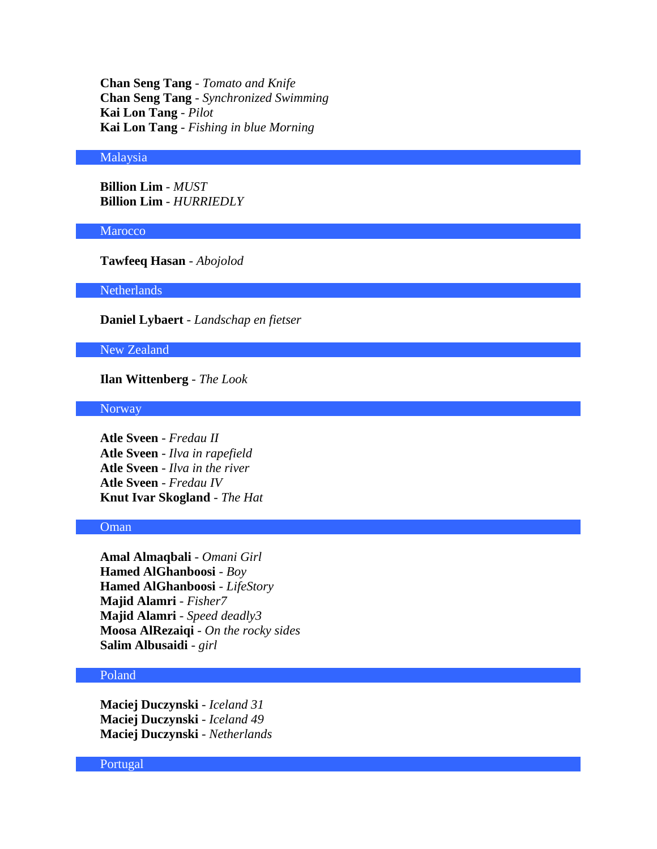**Chan Seng Tang** - *Tomato and Knife* **Chan Seng Tang** - *Synchronized Swimming* **Kai Lon Tang** - *Pilot* **Kai Lon Tang** - *Fishing in blue Morning*

#### Malaysia

**Billion Lim** - *MUST* **Billion Lim** - *HURRIEDLY*

# Marocco

**Tawfeeq Hasan** - *Abojolod*

Netherlands

**Daniel Lybaert** - *Landschap en fietser*

New Zealand

**Ilan Wittenberg** - *The Look*

Norway

**Atle Sveen** - *Fredau II* **Atle Sveen** - *Ilva in rapefield* **Atle Sveen** - *Ilva in the river* **Atle Sveen** - *Fredau IV* **Knut Ivar Skogland** - *The Hat*

# Oman

**Amal Almaqbali** - *Omani Girl* **Hamed AlGhanboosi** - *Boy* **Hamed AlGhanboosi** - *LifeStory* **Majid Alamri** - *Fisher7* **Majid Alamri** - *Speed deadly3* **Moosa AlRezaiqi** - *On the rocky sides* **Salim Albusaidi** - *girl*

# Poland

**Maciej Duczynski** - *Iceland 31* **Maciej Duczynski** - *Iceland 49* **Maciej Duczynski** - *Netherlands*

Portugal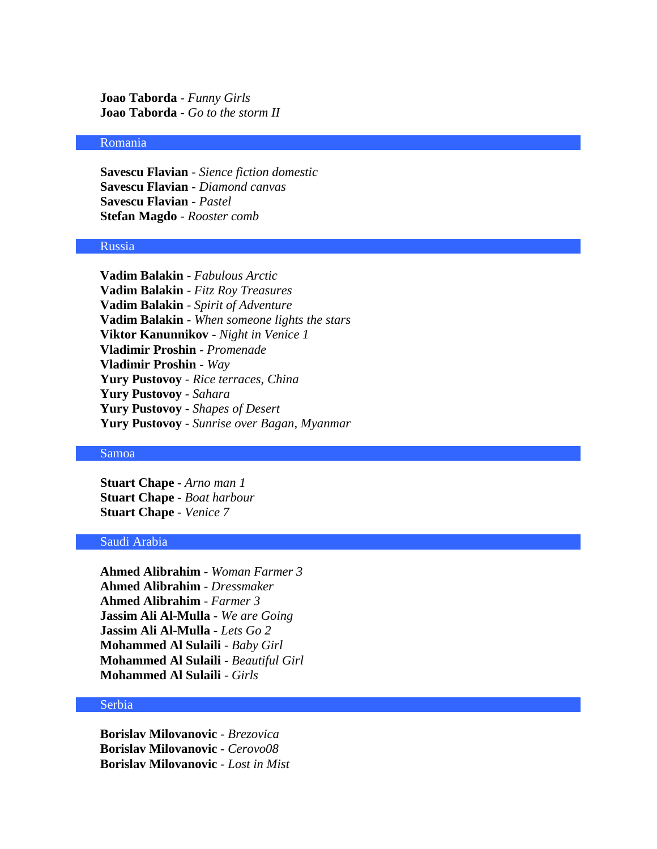**Joao Taborda** - *Funny Girls* **Joao Taborda** - *Go to the storm II*

# Romania

**Savescu Flavian** - *Sience fiction domestic* **Savescu Flavian** - *Diamond canvas* **Savescu Flavian** - *Pastel* **Stefan Magdo** - *Rooster comb*

#### Russia

**Vadim Balakin** - *Fabulous Arctic* **Vadim Balakin** - *Fitz Roy Treasures* **Vadim Balakin** - *Spirit of Adventure* **Vadim Balakin** - *When someone lights the stars* **Viktor Kanunnikov** - *Night in Venice 1* **Vladimir Proshin** - *Promenade* **Vladimir Proshin** - *Way* **Yury Pustovoy** - *Rice terraces, China* **Yury Pustovoy** - *Sahara* **Yury Pustovoy** - *Shapes of Desert* **Yury Pustovoy** - *Sunrise over Bagan, Myanmar*

### Samoa

**Stuart Chape** - *Arno man 1* **Stuart Chape** - *Boat harbour* **Stuart Chape** - *Venice 7*

# Saudi Arabia

**Ahmed Alibrahim** - *Woman Farmer 3* **Ahmed Alibrahim** - *Dressmaker* **Ahmed Alibrahim** - *Farmer 3* **Jassim Ali Al-Mulla** - *We are Going* **Jassim Ali Al-Mulla** - *Lets Go 2* **Mohammed Al Sulaili** - *Baby Girl* **Mohammed Al Sulaili** - *Beautiful Girl* **Mohammed Al Sulaili** - *Girls*

#### Serbia

**Borislav Milovanovic** - *Brezovica* **Borislav Milovanovic** - *Cerovo08* **Borislav Milovanovic** - *Lost in Mist*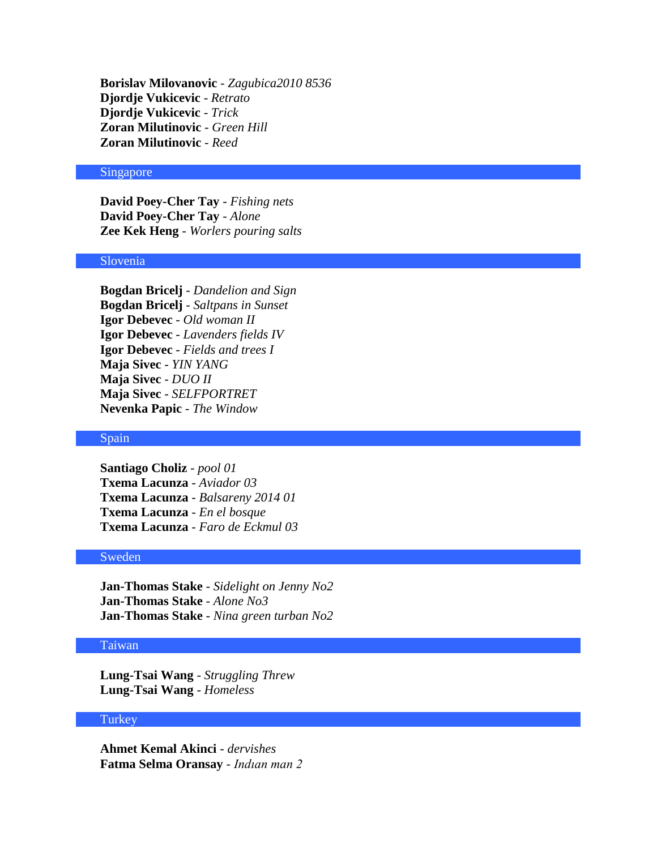**Borislav Milovanovic** - *Zagubica2010 8536* **Djordje Vukicevic** - *Retrato* **Djordje Vukicevic** - *Trick* **Zoran Milutinovic** - *Green Hill* **Zoran Milutinovic** - *Reed*

#### Singapore

**David Poey-Cher Tay** - *Fishing nets* **David Poey-Cher Tay** - *Alone* **Zee Kek Heng** - *Worlers pouring salts*

# Slovenia

**Bogdan Bricelj** - *Dandelion and Sign* **Bogdan Bricelj** - *Saltpans in Sunset* **Igor Debevec** - *Old woman II* **Igor Debevec** - *Lavenders fields IV* **Igor Debevec** - *Fields and trees I* **Maja Sivec** - *YIN YANG* **Maja Sivec** - *DUO II* **Maja Sivec** - *SELFPORTRET* **Nevenka Papic** - *The Window*

#### Spain

**Santiago Choliz** - *pool 01* **Txema Lacunza** - *Aviador 03* **Txema Lacunza** - *Balsareny 2014 01* **Txema Lacunza** - *En el bosque* **Txema Lacunza** - *Faro de Eckmul 03*

#### Sweden

**Jan-Thomas Stake** - *Sidelight on Jenny No2* **Jan-Thomas Stake** - *Alone No3* **Jan-Thomas Stake** - *Nina green turban No2*

# Taiwan

**Lung-Tsai Wang** - *Struggling Threw* **Lung-Tsai Wang** - *Homeless*

# **Turkey**

**Ahmet Kemal Akinci** - *dervishes* **Fatma Selma Oransay** - *Indıan man 2*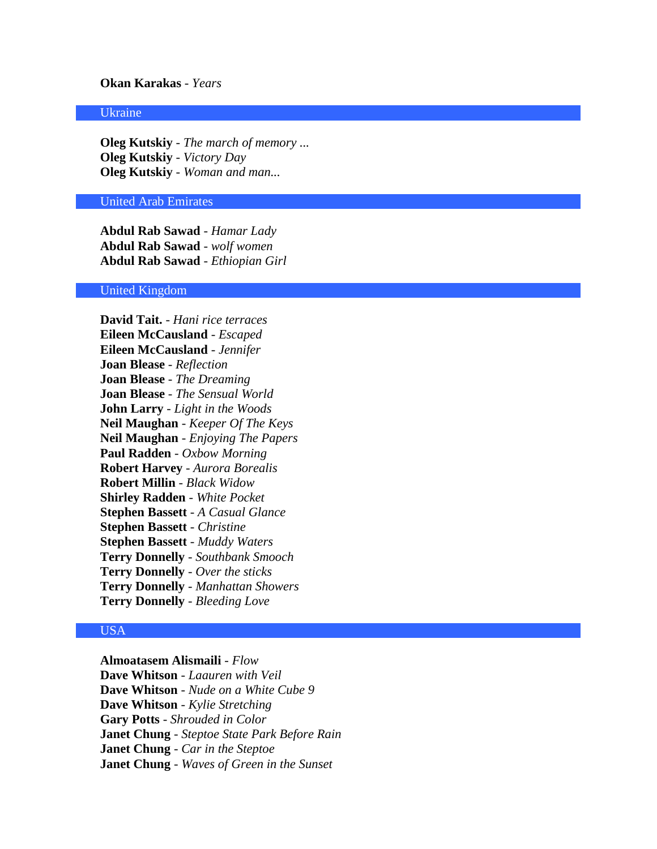# **Okan Karakas** - *Years*

# Ukraine

**Oleg Kutskiy** - *The march of memory ...* **Oleg Kutskiy** - *Victory Day* **Oleg Kutskiy** - *Woman and man...*

#### United Arab Emirates

**Abdul Rab Sawad** - *Hamar Lady* **Abdul Rab Sawad** - *wolf women* **Abdul Rab Sawad** - *Ethiopian Girl*

# United Kingdom

**David Tait.** - *Hani rice terraces* **Eileen McCausland** - *Escaped* **Eileen McCausland** - *Jennifer* **Joan Blease** - *Reflection* **Joan Blease** - *The Dreaming* **Joan Blease** - *The Sensual World* **John Larry** - *Light in the Woods* **Neil Maughan** - *Keeper Of The Keys* **Neil Maughan** - *Enjoying The Papers* **Paul Radden** - *Oxbow Morning* **Robert Harvey** - *Aurora Borealis* **Robert Millin** - *Black Widow* **Shirley Radden** - *White Pocket* **Stephen Bassett** - *A Casual Glance* **Stephen Bassett** - *Christine* **Stephen Bassett** - *Muddy Waters* **Terry Donnelly** - *Southbank Smooch* **Terry Donnelly** - *Over the sticks* **Terry Donnelly** - *Manhattan Showers* **Terry Donnelly** - *Bleeding Love*

# USA

**Almoatasem Alismaili** - *Flow* **Dave Whitson** - *Laauren with Veil* **Dave Whitson** - *Nude on a White Cube 9* **Dave Whitson** - *Kylie Stretching* **Gary Potts** - *Shrouded in Color* **Janet Chung** - *Steptoe State Park Before Rain* **Janet Chung** - *Car in the Steptoe* **Janet Chung** - *Waves of Green in the Sunset*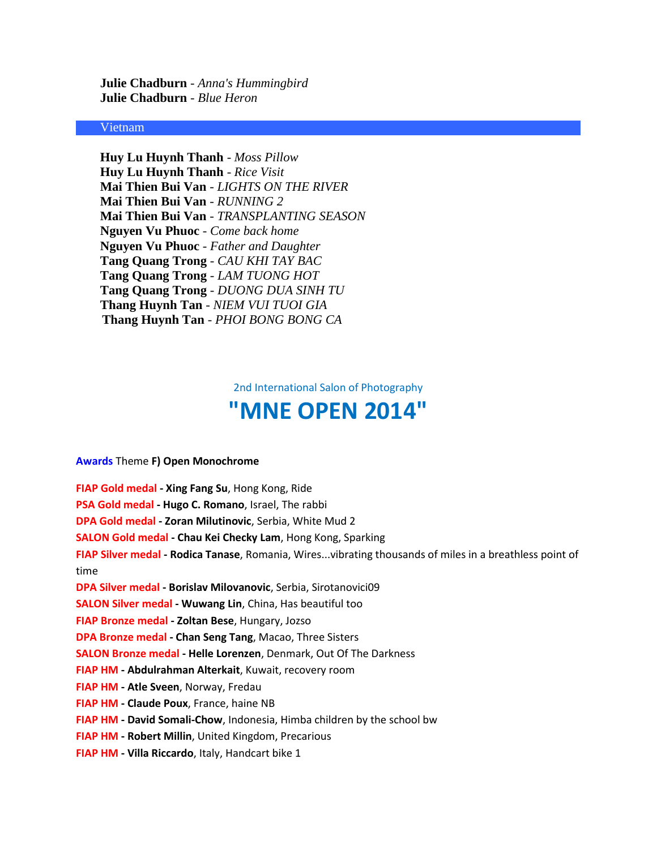**Julie Chadburn** - *Anna's Hummingbird* **Julie Chadburn** - *Blue Heron*

#### Vietnam

**Huy Lu Huynh Thanh** - *Moss Pillow* **Huy Lu Huynh Thanh** - *Rice Visit* **Mai Thien Bui Van** - *LIGHTS ON THE RIVER* **Mai Thien Bui Van** - *RUNNING 2* **Mai Thien Bui Van** - *TRANSPLANTING SEASON* **Nguyen Vu Phuoc** - *Come back home* **Nguyen Vu Phuoc** - *Father and Daughter* **Tang Quang Trong** - *CAU KHI TAY BAC* **Tang Quang Trong** - *LAM TUONG HOT* **Tang Quang Trong** - *DUONG DUA SINH TU* **Thang Huynh Tan** - *NIEM VUI TUOI GIA* **Thang Huynh Tan** - *PHOI BONG BONG CA*

2nd International Salon of Photography

# **"MNE OPEN 2014"**

#### **Awards** Theme **F) Open Monochrome**

**FIAP Gold medal - Xing Fang Su**, Hong Kong, Ride

**PSA Gold medal - Hugo C. Romano**, Israel, The rabbi

**DPA Gold medal - Zoran Milutinovic**, Serbia, White Mud 2

**SALON Gold medal - Chau Kei Checky Lam**, Hong Kong, Sparking

**FIAP Silver medal - Rodica Tanase**, Romania, Wires...vibrating thousands of miles in a breathless point of time

**DPA Silver medal - Borislav Milovanovic**, Serbia, Sirotanovici09

**SALON Silver medal - Wuwang Lin**, China, Has beautiful too

**FIAP Bronze medal - Zoltan Bese**, Hungary, Jozso

**DPA Bronze medal - Chan Seng Tang**, Macao, Three Sisters

**SALON Bronze medal - Helle Lorenzen**, Denmark, Out Of The Darkness

**FIAP HM - Abdulrahman Alterkait**, Kuwait, recovery room

**FIAP HM - Atle Sveen**, Norway, Fredau

**FIAP HM - Claude Poux**, France, haine NB

**FIAP HM - David Somali-Chow**, Indonesia, Himba children by the school bw

**FIAP HM - Robert Millin**, United Kingdom, Precarious

**FIAP HM - Villa Riccardo**, Italy, Handcart bike 1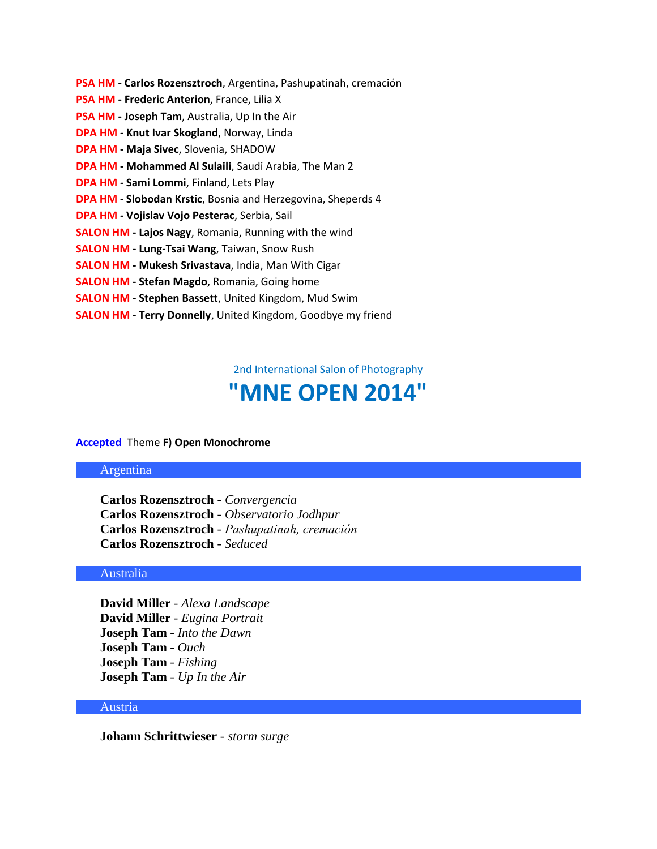- **PSA HM - Carlos Rozensztroch**, Argentina, Pashupatinah, cremación
- **PSA HM - Frederic Anterion**, France, Lilia X
- **PSA HM - Joseph Tam**, Australia, Up In the Air
- **DPA HM - Knut Ivar Skogland**, Norway, Linda
- **DPA HM - Maja Sivec**, Slovenia, SHADOW
- **DPA HM - Mohammed Al Sulaili**, Saudi Arabia, The Man 2
- **DPA HM - Sami Lommi**, Finland, Lets Play
- **DPA HM - Slobodan Krstic**, Bosnia and Herzegovina, Sheperds 4
- **DPA HM - Vojislav Vojo Pesterac**, Serbia, Sail
- **SALON HM - Lajos Nagy**, Romania, Running with the wind
- **SALON HM - Lung-Tsai Wang**, Taiwan, Snow Rush
- **SALON HM - Mukesh Srivastava**, India, Man With Cigar
- **SALON HM - Stefan Magdo**, Romania, Going home
- **SALON HM - Stephen Bassett**, United Kingdom, Mud Swim
- **SALON HM - Terry Donnelly**, United Kingdom, Goodbye my friend

2nd International Salon of Photography

# **"MNE OPEN 2014"**

#### **Accepted** Theme **F) Open Monochrome**

#### Argentina

**Carlos Rozensztroch** - *Convergencia* **Carlos Rozensztroch** - *Observatorio Jodhpur* **Carlos Rozensztroch** - *Pashupatinah, cremación* **Carlos Rozensztroch** - *Seduced*

## Australia

**David Miller** - *Alexa Landscape* **David Miller** - *Eugina Portrait* **Joseph Tam** - *Into the Dawn* **Joseph Tam** - *Ouch* **Joseph Tam** - *Fishing* **Joseph Tam** - *Up In the Air*

# Austria

**Johann Schrittwieser** - *storm surge*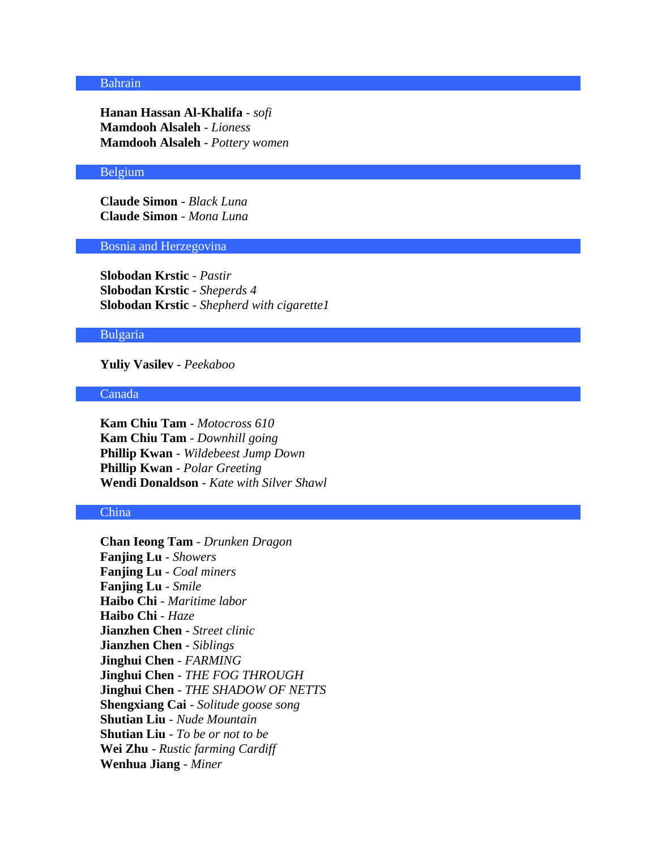#### Bahrain

**Hanan Hassan Al-Khalifa** - *sofi* **Mamdooh Alsaleh** - *Lioness* **Mamdooh Alsaleh** - *Pottery women*

#### Belgium

**Claude Simon** - *Black Luna* **Claude Simon** - *Mona Luna*

Bosnia and Herzegovina

**Slobodan Krstic** - *Pastir* **Slobodan Krstic** - *Sheperds 4* **Slobodan Krstic** - *Shepherd with cigarette1*

#### Bulgaria

**Yuliy Vasilev** - *Peekaboo*

### Canada

**Kam Chiu Tam** - *Motocross 610* **Kam Chiu Tam** - *Downhill going* **Phillip Kwan** - *Wildebeest Jump Down* **Phillip Kwan** - *Polar Greeting* **Wendi Donaldson** - *Kate with Silver Shawl*

# China

**Chan Ieong Tam** - *Drunken Dragon* **Fanjing Lu** - *Showers* **Fanjing Lu** - *Coal miners* **Fanjing Lu** - *Smile* **Haibo Chi** - *Maritime labor* **Haibo Chi** - *Haze* **Jianzhen Chen** - *Street clinic* **Jianzhen Chen** - *Siblings* **Jinghui Chen** - *FARMING* **Jinghui Chen** - *THE FOG THROUGH* **Jinghui Chen** - *THE SHADOW OF NETTS* **Shengxiang Cai** - *Solitude goose song* **Shutian Liu** - *Nude Mountain* **Shutian Liu** - *To be or not to be* **Wei Zhu** - *Rustic farming Cardiff* **Wenhua Jiang** - *Miner*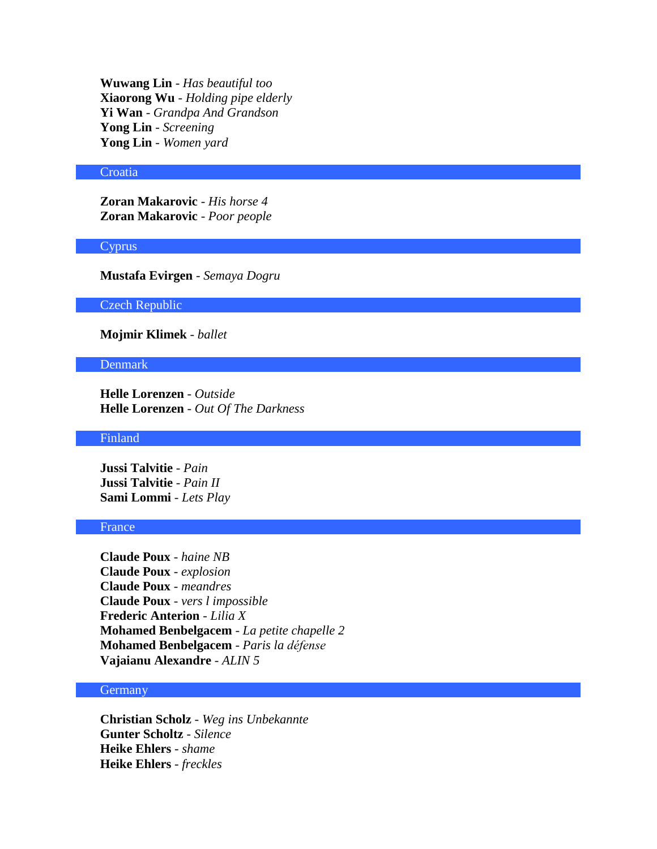**Wuwang Lin** - *Has beautiful too* **Xiaorong Wu** - *Holding pipe elderly* **Yi Wan** - *Grandpa And Grandson* **Yong Lin** - *Screening* **Yong Lin** - *Women yard*

#### **Croatia**

**Zoran Makarovic** - *His horse 4* **Zoran Makarovic** - *Poor people*

#### **Cyprus**

**Mustafa Evirgen** - *Semaya Dogru*

Czech Republic

# **Mojmir Klimek** - *ballet*

#### Denmark

**Helle Lorenzen** - *Outside* **Helle Lorenzen** - *Out Of The Darkness*

#### Finland

**Jussi Talvitie** - *Pain* **Jussi Talvitie** - *Pain II* **Sami Lommi** - *Lets Play*

#### France

**Claude Poux** - *haine NB* **Claude Poux** - *explosion* **Claude Poux** - *meandres* **Claude Poux** - *vers l impossible* **Frederic Anterion** - *Lilia X* **Mohamed Benbelgacem** - *La petite chapelle 2* **Mohamed Benbelgacem** - *Paris la défense* **Vajaianu Alexandre** - *ALIN 5*

# **Germany**

**Christian Scholz** - *Weg ins Unbekannte* **Gunter Scholtz** - *Silence* **Heike Ehlers** - *shame* **Heike Ehlers** - *freckles*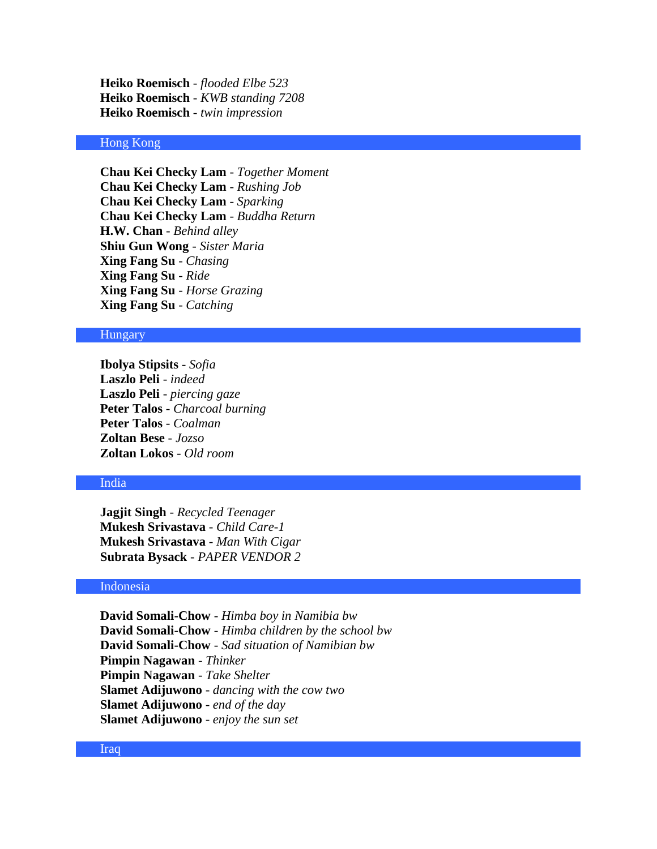**Heiko Roemisch** - *flooded Elbe 523* **Heiko Roemisch** - *KWB standing 7208* **Heiko Roemisch** - *twin impression*

# Hong Kong

**Chau Kei Checky Lam** - *Together Moment* **Chau Kei Checky Lam** - *Rushing Job* **Chau Kei Checky Lam** - *Sparking* **Chau Kei Checky Lam** - *Buddha Return* **H.W. Chan** - *Behind alley* **Shiu Gun Wong** - *Sister Maria* **Xing Fang Su** - *Chasing* **Xing Fang Su** - *Ride* **Xing Fang Su** - *Horse Grazing* **Xing Fang Su** - *Catching*

#### Hungary

**Ibolya Stipsits** - *Sofia* **Laszlo Peli** - *indeed* **Laszlo Peli** - *piercing gaze* **Peter Talos** - *Charcoal burning* **Peter Talos** - *Coalman* **Zoltan Bese** - *Jozso* **Zoltan Lokos** - *Old room*

#### India

**Jagjit Singh** - *Recycled Teenager* **Mukesh Srivastava** - *Child Care-1* **Mukesh Srivastava** - *Man With Cigar* **Subrata Bysack** - *PAPER VENDOR 2*

# Indonesia

**David Somali-Chow** - *Himba boy in Namibia bw* **David Somali-Chow** - *Himba children by the school bw* **David Somali-Chow** - *Sad situation of Namibian bw* **Pimpin Nagawan** - *Thinker* **Pimpin Nagawan** - *Take Shelter* **Slamet Adijuwono** - *dancing with the cow two* **Slamet Adijuwono** - *end of the day* **Slamet Adijuwono** - *enjoy the sun set*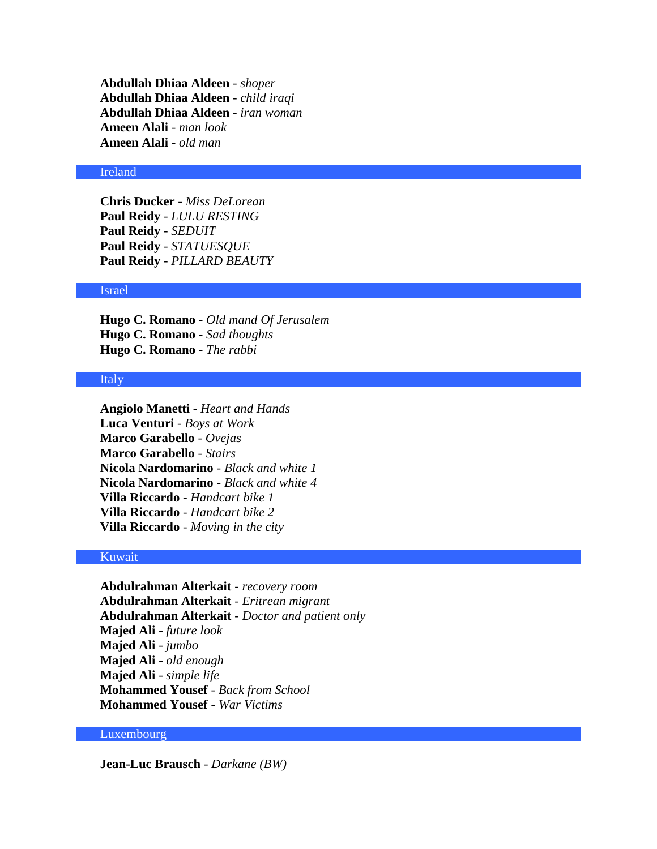**Abdullah Dhiaa Aldeen** - *shoper* **Abdullah Dhiaa Aldeen** - *child iraqi* **Abdullah Dhiaa Aldeen** - *iran woman* **Ameen Alali** - *man look* **Ameen Alali** - *old man*

## Ireland

**Chris Ducker** - *Miss DeLorean* **Paul Reidy** - *LULU RESTING* **Paul Reidy** - *SEDUIT* **Paul Reidy** - *STATUESQUE* **Paul Reidy** - *PILLARD BEAUTY*

## Israel

**Hugo C. Romano** - *Old mand Of Jerusalem* **Hugo C. Romano** - *Sad thoughts* **Hugo C. Romano** - *The rabbi*

#### Italy

**Angiolo Manetti** - *Heart and Hands* **Luca Venturi** - *Boys at Work* **Marco Garabello** - *Ovejas* **Marco Garabello** - *Stairs* **Nicola Nardomarino** - *Black and white 1* **Nicola Nardomarino** - *Black and white 4* **Villa Riccardo** - *Handcart bike 1* **Villa Riccardo** - *Handcart bike 2* **Villa Riccardo** - *Moving in the city*

### Kuwait

**Abdulrahman Alterkait** - *recovery room* **Abdulrahman Alterkait** - *Eritrean migrant* **Abdulrahman Alterkait** - *Doctor and patient only* **Majed Ali** - *future look* **Majed Ali** - *jumbo* **Majed Ali** - *old enough* **Majed Ali** - *simple life* **Mohammed Yousef** - *Back from School* **Mohammed Yousef** - *War Victims*

# Luxembourg

**Jean-Luc Brausch** - *Darkane (BW)*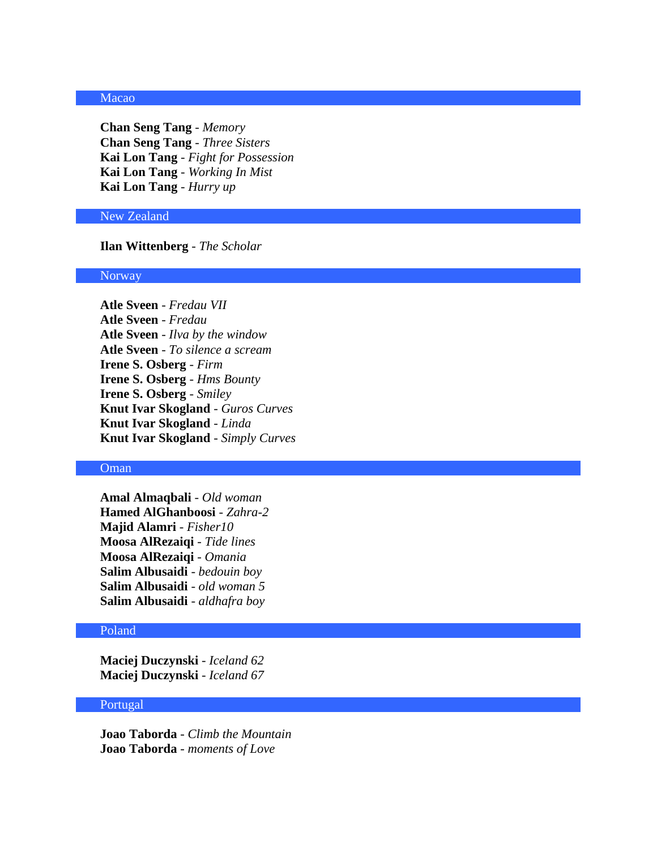# Macao

**Chan Seng Tang** - *Memory* **Chan Seng Tang** - *Three Sisters* **Kai Lon Tang** - *Fight for Possession* **Kai Lon Tang** - *Working In Mist* **Kai Lon Tang** - *Hurry up*

# New Zealand

**Ilan Wittenberg** - *The Scholar*

# Norway

**Atle Sveen** - *Fredau VII* **Atle Sveen** - *Fredau* **Atle Sveen** - *Ilva by the window* **Atle Sveen** - *To silence a scream* **Irene S. Osberg** - *Firm* **Irene S. Osberg** - *Hms Bounty* **Irene S. Osberg** - *Smiley* **Knut Ivar Skogland** - *Guros Curves* **Knut Ivar Skogland** - *Linda* **Knut Ivar Skogland** - *Simply Curves*

# Oman

**Amal Almaqbali** - *Old woman* **Hamed AlGhanboosi** - *Zahra-2* **Majid Alamri** - *Fisher10* **Moosa AlRezaiqi** - *Tide lines* **Moosa AlRezaiqi** - *Omania* **Salim Albusaidi** - *bedouin boy* **Salim Albusaidi** - *old woman 5* **Salim Albusaidi** - *aldhafra boy*

# Poland

**Maciej Duczynski** - *Iceland 62* **Maciej Duczynski** - *Iceland 67*

#### Portugal

**Joao Taborda** - *Climb the Mountain* **Joao Taborda** - *moments of Love*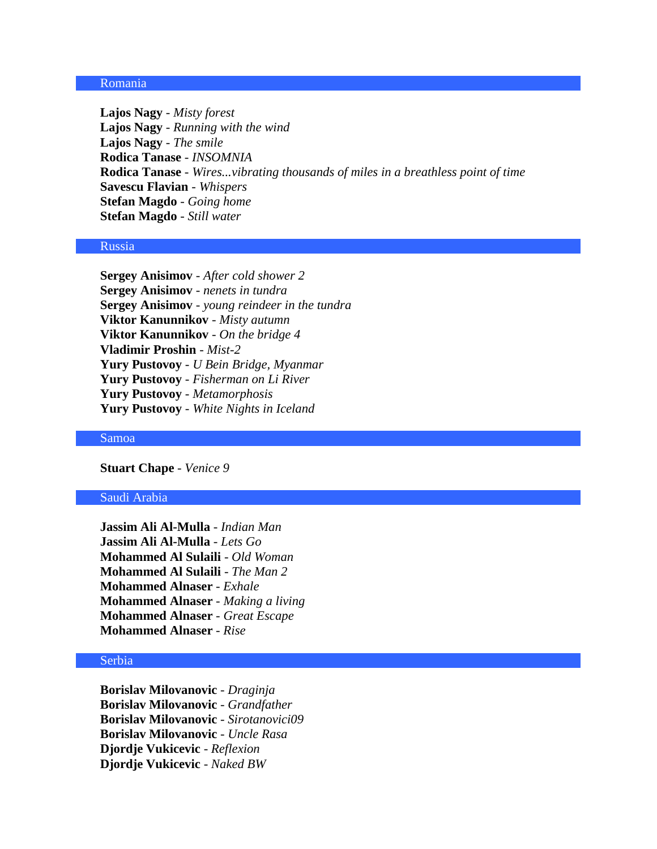#### Romania

**Lajos Nagy** - *Misty forest* **Lajos Nagy** - *Running with the wind* **Lajos Nagy** - *The smile* **Rodica Tanase** - *INSOMNIA* **Rodica Tanase** - *Wires...vibrating thousands of miles in a breathless point of time* **Savescu Flavian** - *Whispers* **Stefan Magdo** - *Going home* **Stefan Magdo** - *Still water*

#### Russia

**Sergey Anisimov** - *After cold shower 2* **Sergey Anisimov** - *nenets in tundra* **Sergey Anisimov** - *young reindeer in the tundra* **Viktor Kanunnikov** - *Misty autumn* **Viktor Kanunnikov** - *On the bridge 4* **Vladimir Proshin** - *Mist-2* **Yury Pustovoy** - *U Bein Bridge, Myanmar* **Yury Pustovoy** - *Fisherman on Li River* **Yury Pustovoy** - *Metamorphosis* **Yury Pustovoy** - *White Nights in Iceland*

#### Samoa

**Stuart Chape** - *Venice 9*

#### Saudi Arabia

**Jassim Ali Al-Mulla** - *Indian Man* **Jassim Ali Al-Mulla** - *Lets Go* **Mohammed Al Sulaili** - *Old Woman* **Mohammed Al Sulaili** - *The Man 2* **Mohammed Alnaser** - *Exhale* **Mohammed Alnaser** - *Making a living* **Mohammed Alnaser** - *Great Escape* **Mohammed Alnaser** - *Rise*

# Serbia

**Borislav Milovanovic** - *Draginja* **Borislav Milovanovic** - *Grandfather* **Borislav Milovanovic** - *Sirotanovici09* **Borislav Milovanovic** - *Uncle Rasa* **Djordje Vukicevic** - *Reflexion* **Djordje Vukicevic** - *Naked BW*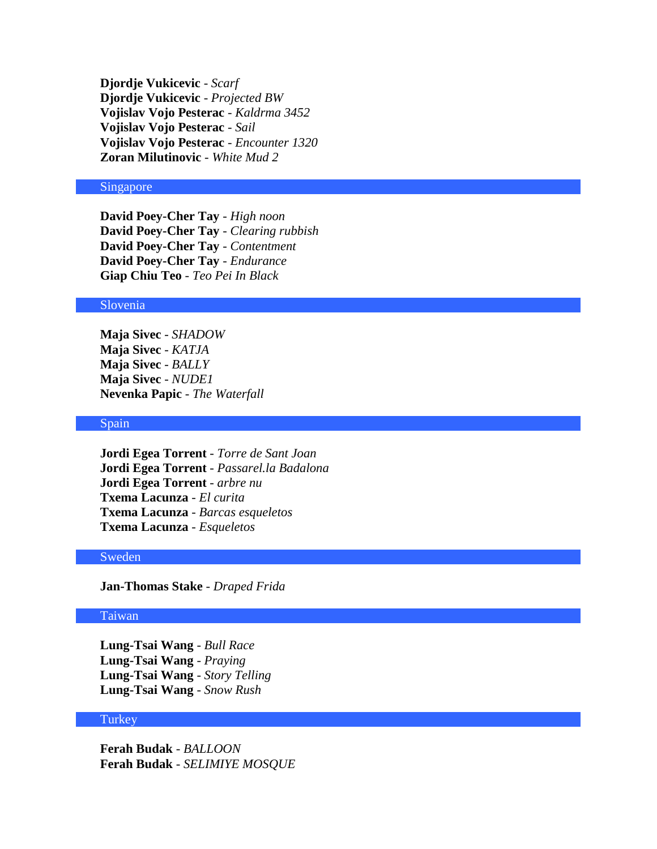**Djordje Vukicevic** - *Scarf* **Djordje Vukicevic** - *Projected BW* **Vojislav Vojo Pesterac** - *Kaldrma 3452* **Vojislav Vojo Pesterac** - *Sail* **Vojislav Vojo Pesterac** - *Encounter 1320* **Zoran Milutinovic** - *White Mud 2*

#### Singapore

**David Poey-Cher Tay** - *High noon* **David Poey-Cher Tay** - *Clearing rubbish* **David Poey-Cher Tay** - *Contentment* **David Poey-Cher Tay** - *Endurance* **Giap Chiu Teo** - *Teo Pei In Black*

#### Slovenia

**Maja Sivec** - *SHADOW* **Maja Sivec** - *KATJA* **Maja Sivec** - *BALLY* **Maja Sivec** - *NUDE1* **Nevenka Papic** - *The Waterfall*

# Spain

**Jordi Egea Torrent** - *Torre de Sant Joan* **Jordi Egea Torrent** - *Passarel.la Badalona* **Jordi Egea Torrent** - *arbre nu* **Txema Lacunza** - *El curita* **Txema Lacunza** - *Barcas esqueletos* **Txema Lacunza** - *Esqueletos*

# Sweden

**Jan-Thomas Stake** - *Draped Frida*

## Taiwan

**Lung-Tsai Wang** - *Bull Race* **Lung-Tsai Wang** - *Praying* **Lung-Tsai Wang** - *Story Telling* **Lung-Tsai Wang** - *Snow Rush*

# **Turkey**

**Ferah Budak** - *BALLOON* **Ferah Budak** - *SELIMIYE MOSQUE*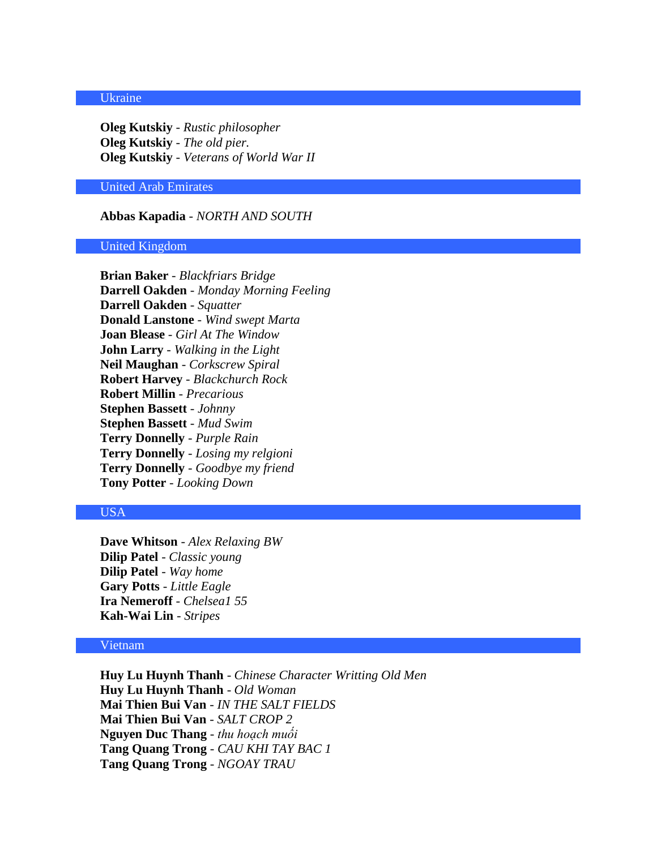# Ukraine

**Oleg Kutskiy** - *Rustic philosopher* **Oleg Kutskiy** - *The old pier.* **Oleg Kutskiy** - *Veterans of World War II*

### United Arab Emirates

**Abbas Kapadia** - *NORTH AND SOUTH*

#### United Kingdom

**Brian Baker** - *Blackfriars Bridge* **Darrell Oakden** - *Monday Morning Feeling* **Darrell Oakden** - *Squatter* **Donald Lanstone** - *Wind swept Marta* **Joan Blease** - *Girl At The Window* **John Larry** - *Walking in the Light* **Neil Maughan** - *Corkscrew Spiral* **Robert Harvey** - *Blackchurch Rock* **Robert Millin** - *Precarious* **Stephen Bassett** - *Johnny* **Stephen Bassett** - *Mud Swim* **Terry Donnelly** - *Purple Rain* **Terry Donnelly** - *Losing my relgioni* **Terry Donnelly** - *Goodbye my friend* **Tony Potter** - *Looking Down*

# USA

**Dave Whitson** - *Alex Relaxing BW* **Dilip Patel** - *Classic young* **Dilip Patel** - *Way home* **Gary Potts** - *Little Eagle* **Ira Nemeroff** - *Chelsea1 55* **Kah-Wai Lin** - *Stripes*

# Vietnam

**Huy Lu Huynh Thanh** - *Chinese Character Writting Old Men* **Huy Lu Huynh Thanh** - *Old Woman* **Mai Thien Bui Van** - *IN THE SALT FIELDS* **Mai Thien Bui Van** - *SALT CROP 2* **Nguyen Duc Thang** - *thu hoạch muối* **Tang Quang Trong** - *CAU KHI TAY BAC 1* **Tang Quang Trong** - *NGOAY TRAU*